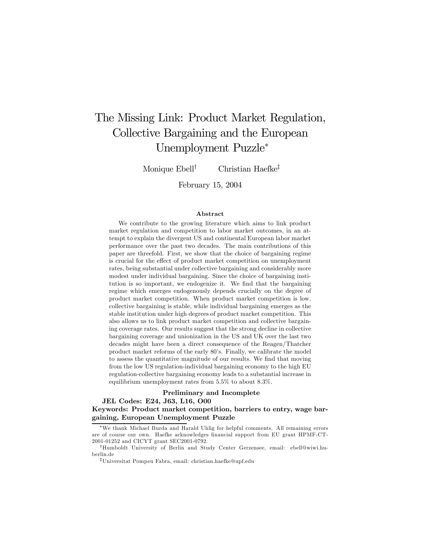# The Missing Link: Product Market Regulation, Collective Bargaining and the European Unemployment Puzzle<sup>∗</sup>

Monique Ebell<sup>†</sup> Christian Haefke<sup>‡</sup>

February 15, 2004

#### Abstract

We contribute to the growing literature which aims to link product market regulation and competition to labor market outcomes, in an attempt to explain the divergent US and continental European labor market performance over the past two decades. The main contributions of this paper are threefold. First, we show that the choice of bargaining regime is crucial for the effect of product market competition on unemployment rates, being substantial under collective bargaining and considerably more modest under individual bargaining. Since the choice of bargaining institution is so important, we endogenize it. We find that the bargaining regime which emerges endogenously depends crucially on the degree of product market competition. When product market competition is low, collective bargaining is stable, while individual bargaining emerges as the stable institution under high degrees of product market competition. This also allows us to link product market competition and collective bargaining coverage rates. Our results suggest that the strong decline in collective bargaining coverage and unionization in the US and UK over the last two decades might have been a direct consequence of the Reagen/Thatcher product market reforms of the early 80's. Finally, we calibrate the model to assess the quantitative magnitude of our results. We find that moving from the low US regulation-individual bargaining economy to the high EU regulation-collective bargaining economy leads to a substantial increase in equilibrium unemployment rates from 5.5% to about 8.3%.

### Preliminary and Incomplete

JEL Codes: E24, J63, L16, O00 Keywords: Product market competition, barriers to entry, wage bargaining, European Unemployment Puzzle

<sup>∗</sup>We thank Michael Burda and Harald Uhlig for helpful comments. All remaining errors are of course our own. Haefke acknowledges financial support from EU grant HPMF-CT-2001-01252 and CICYT grant SEC2001-0792.

<sup>†</sup>Humboldt University of Berlin and Study Center Gerzensee, email: ebell@wiwi.huberlin.de

<sup>‡</sup>Universitat Pompeu Fabra, email: christian.haefke@upf.edu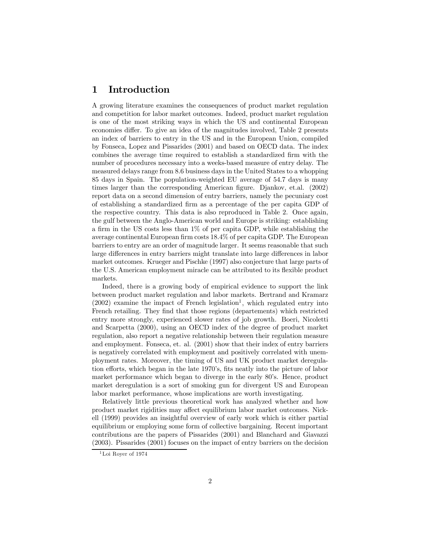## 1 Introduction

A growing literature examines the consequences of product market regulation and competition for labor market outcomes. Indeed, product market regulation is one of the most striking ways in which the US and continental European economies differ. To give an idea of the magnitudes involved, Table 2 presents an index of barriers to entry in the US and in the European Union, compiled by Fonseca, Lopez and Pissarides (2001) and based on OECD data. The index combines the average time required to establish a standardized firm with the number of procedures necessary into a weeks-based measure of entry delay. The measured delays range from 8.6 business days in the United States to a whopping 85 days in Spain. The population-weighted EU average of 54.7 days is many times larger than the corresponding American figure. Djankov, et.al. (2002) report data on a second dimension of entry barriers, namely the pecuniary cost of establishing a standardized firm as a percentage of the per capita GDP of the respective country. This data is also reproduced in Table 2. Once again, the gulf between the Anglo-American world and Europe is striking: establishing a firm in the US costs less than 1% of per capita GDP, while establishing the average continental European firm costs 18.4% of per capita GDP. The European barriers to entry are an order of magnitude larger. It seems reasonable that such large differences in entry barriers might translate into large differences in labor market outcomes. Krueger and Pischke (1997) also conjecture that large parts of the U.S. American employment miracle can be attributed to its flexible product markets.

Indeed, there is a growing body of empirical evidence to support the link between product market regulation and labor markets. Bertrand and Kramarz  $(2002)$  examine the impact of French legislation<sup>1</sup>, which regulated entry into French retailing. They find that those regions (departements) which restricted entry more strongly, experienced slower rates of job growth. Boeri, Nicoletti and Scarpetta (2000), using an OECD index of the degree of product market regulation, also report a negative relationship between their regulation measure and employment. Fonseca, et. al. (2001) show that their index of entry barriers is negatively correlated with employment and positively correlated with unemployment rates. Moreover, the timing of US and UK product market deregulation efforts, which began in the late 1970's, fits neatly into the picture of labor market performance which began to diverge in the early 80's. Hence, product market deregulation is a sort of smoking gun for divergent US and European labor market performance, whose implications are worth investigating.

Relatively little previous theoretical work has analyzed whether and how product market rigidities may affect equilibrium labor market outcomes. Nickell (1999) provides an insightful overview of early work which is either partial equilibrium or employing some form of collective bargaining. Recent important contributions are the papers of Pissarides (2001) and Blanchard and Giavazzi (2003). Pissarides (2001) focuses on the impact of entry barriers on the decision

<sup>1</sup>Loi Royer of 1974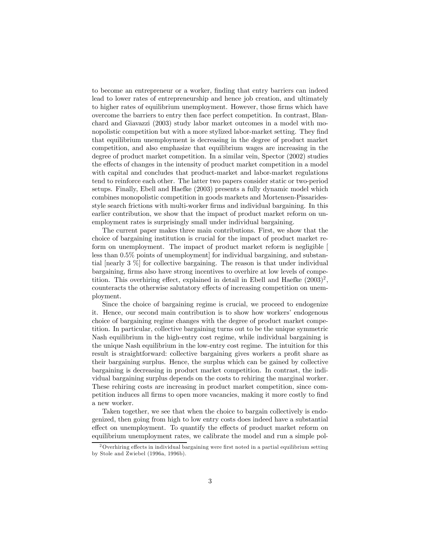to become an entrepreneur or a worker, finding that entry barriers can indeed lead to lower rates of entrepreneurship and hence job creation, and ultimately to higher rates of equilibrium unemployment. However, those firms which have overcome the barriers to entry then face perfect competition. In contrast, Blanchard and Giavazzi (2003) study labor market outcomes in a model with monopolistic competition but with a more stylized labor-market setting. They find that equilibrium unemployment is decreasing in the degree of product market competition, and also emphasize that equilibrium wages are increasing in the degree of product market competition. In a similar vein, Spector (2002) studies the effects of changes in the intensity of product market competition in a model with capital and concludes that product-market and labor-market regulations tend to reinforce each other. The latter two papers consider static or two-period setups. Finally, Ebell and Haefke (2003) presents a fully dynamic model which combines monopolistic competition in goods markets and Mortensen-Pissaridesstyle search frictions with multi-worker firms and individual bargaining. In this earlier contribution, we show that the impact of product market reform on unemployment rates is surprisingly small under individual bargaining.

The current paper makes three main contributions. First, we show that the choice of bargaining institution is crucial for the impact of product market reform on unemployment. The impact of product market reform is negligible [ less than 0.5% points of unemployment] for individual bargaining, and substantial [nearly 3 %] for collective bargaining. The reason is that under individual bargaining, firms also have strong incentives to overhire at low levels of competition. This overhiring effect, explained in detail in Ebell and Haefke  $(2003)^2$ . counteracts the otherwise salutatory effects of increasing competition on unemployment.

Since the choice of bargaining regime is crucial, we proceed to endogenize it. Hence, our second main contribution is to show how workers' endogenous choice of bargaining regime changes with the degree of product market competition. In particular, collective bargaining turns out to be the unique symmetric Nash equilibrium in the high-entry cost regime, while individual bargaining is the unique Nash equilibrium in the low-entry cost regime. The intuition for this result is straightforward: collective bargaining gives workers a profit share as their bargaining surplus. Hence, the surplus which can be gained by collective bargaining is decreasing in product market competition. In contrast, the individual bargaining surplus depends on the costs to rehiring the marginal worker. These rehiring costs are increasing in product market competition, since competition induces all firms to open more vacancies, making it more costly to find a new worker.

Taken together, we see that when the choice to bargain collectively is endogenized, then going from high to low entry costs does indeed have a substantial effect on unemployment. To quantify the effects of product market reform on equilibrium unemployment rates, we calibrate the model and run a simple pol-

 $2$ Overhiring effects in individual bargaining were first noted in a partial equilibrium setting by Stole and Zwiebel (1996a, 1996b).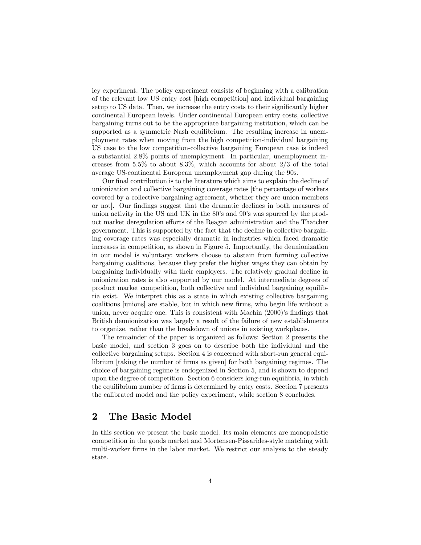icy experiment. The policy experiment consists of beginning with a calibration of the relevant low US entry cost [high competition] and individual bargaining setup to US data. Then, we increase the entry costs to their significantly higher continental European levels. Under continental European entry costs, collective bargaining turns out to be the appropriate bargaining institution, which can be supported as a symmetric Nash equilibrium. The resulting increase in unemployment rates when moving from the high competition-individual bargaining US case to the low competition-collective bargaining European case is indeed a substantial 2.8% points of unemployment. In particular, unemployment increases from  $5.5\%$  to about  $8.3\%$ , which accounts for about  $2/3$  of the total average US-continental European unemployment gap during the 90s.

Our final contribution is to the literature which aims to explain the decline of unionization and collective bargaining coverage rates [the percentage of workers covered by a collective bargaining agreement, whether they are union members or not]. Our findings suggest that the dramatic declines in both measures of union activity in the US and UK in the 80's and 90's was spurred by the product market deregulation efforts of the Reagan administration and the Thatcher government. This is supported by the fact that the decline in collective bargaining coverage rates was especially dramatic in industries which faced dramatic increases in competition, as shown in Figure 5. Importantly, the deunionization in our model is voluntary: workers choose to abstain from forming collective bargaining coalitions, because they prefer the higher wages they can obtain by bargaining individually with their employers. The relatively gradual decline in unionization rates is also supported by our model. At intermediate degrees of product market competition, both collective and individual bargaining equilibria exist. We interpret this as a state in which existing collective bargaining coalitions [unions] are stable, but in which new firms, who begin life without a union, never acquire one. This is consistent with Machin (2000)'s findings that British deunionization was largely a result of the failure of new establishments to organize, rather than the breakdown of unions in existing workplaces.

The remainder of the paper is organized as follows: Section 2 presents the basic model, and section 3 goes on to describe both the individual and the collective bargaining setups. Section 4 is concerned with short-run general equilibrium [taking the number of firms as given] for both bargaining regimes. The choice of bargaining regime is endogenized in Section 5, and is shown to depend upon the degree of competition. Section 6 considers long-run equilibria, in which the equilibrium number of firms is determined by entry costs. Section 7 presents the calibrated model and the policy experiment, while section 8 concludes.

### 2 The Basic Model

In this section we present the basic model. Its main elements are monopolistic competition in the goods market and Mortensen-Pissarides-style matching with multi-worker firms in the labor market. We restrict our analysis to the steady state.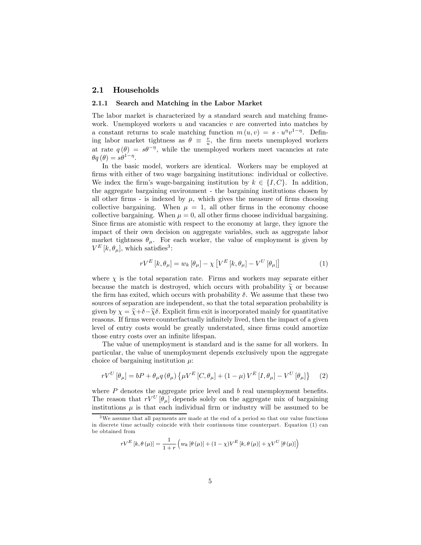### 2.1 Households

#### 2.1.1 Search and Matching in the Labor Market

The labor market is characterized by a standard search and matching framework. Unemployed workers  $u$  and vacancies  $v$  are converted into matches by a constant returns to scale matching function  $m(u, v) = s \cdot u^{\eta}v^{1-\eta}$ . Defining labor market tightness as  $\theta \equiv \frac{v}{u}$ , the firm meets unemployed workers at rate  $q(\theta) = s\theta^{-\eta}$ , while the unemployed workers meet vacancies at rate  $\theta q(\theta) = s\theta^{1-\eta}.$ 

In the basic model, workers are identical. Workers may be employed at firms with either of two wage bargaining institutions: individual or collective. We index the firm's wage-bargaining institution by  $k \in \{I, C\}$ . In addition, the aggregate bargaining environment - the bargaining institutions chosen by all other firms - is indexed by  $\mu$ , which gives the measure of firms choosing collective bargaining. When  $\mu = 1$ , all other firms in the economy choose collective bargaining. When  $\mu = 0$ , all other firms choose individual bargaining. Since firms are atomistic with respect to the economy at large, they ignore the impact of their own decision on aggregate variables, such as aggregate labor market tightness  $\theta_{\mu}$ . For each worker, the value of employment is given by  $V^{E}$  [k,  $\theta_{\mu}$ ], which satisfies<sup>3</sup>:

$$
rV^{E}[k, \theta_{\mu}] = w_{k}[\theta_{\mu}] - \chi \left[ V^{E}[k, \theta_{\mu}] - V^{U}[\theta_{\mu}] \right]
$$
 (1)

where  $\chi$  is the total separation rate. Firms and workers may separate either because the match is destroyed, which occurs with probability  $\tilde{\chi}$  or because the firm has exited, which occurs with probability  $\delta$ . We assume that these two sources of separation are independent, so that the total separation probability is given by  $\chi = \tilde{\chi} + \delta - \tilde{\chi}\delta$ . Explicit firm exit is incorporated mainly for quantitative reasons. If firms were counterfactually infinitely lived, then the impact of a given level of entry costs would be greatly understated, since firms could amortize those entry costs over an infinite lifespan.

The value of unemployment is standard and is the same for all workers. In particular, the value of unemployment depends exclusively upon the aggregate choice of bargaining institution  $\mu$ .

$$
rV^{U}[\theta_{\mu}] = bP + \theta_{\mu}q(\theta_{\mu})\left\{\mu V^{E}[C,\theta_{\mu}] + (1-\mu)V^{E}[I,\theta_{\mu}] - V^{U}[\theta_{\mu}]\right\}
$$
 (2)

where  $P$  denotes the aggregate price level and  $b$  real unemployment benefits. The reason that  $rV^U[\theta_\mu]$  depends solely on the aggregate mix of bargaining institutions  $\mu$  is that each individual firm or industry will be assumed to be

$$
rV^{E}\left[k, \theta\left(\mu\right)\right] = \frac{1}{1+r} \left(w_{k}\left[\theta\left(\mu\right)\right] + (1-\chi)V^{E}\left[k, \theta\left(\mu\right)\right] + \chi V^{U}\left[\theta\left(\mu\right)\right]\right)
$$

 $3W$ e assume that all payments are made at the end of a period so that our value functions in discrete time actually coincide with their continuous time counterpart. Equation (1) can be obtained from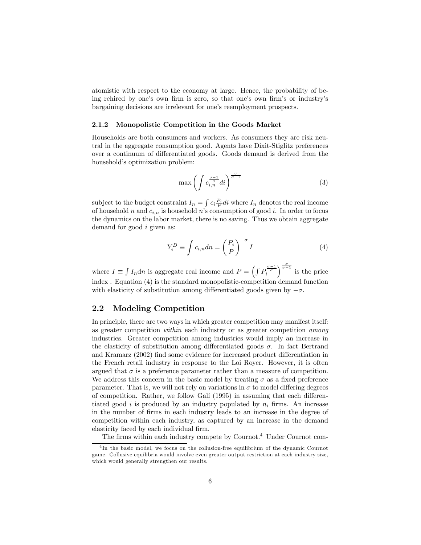atomistic with respect to the economy at large. Hence, the probability of being rehired by one's own firm is zero, so that one's own firm's or industry's bargaining decisions are irrelevant for one's reemployment prospects.

#### 2.1.2 Monopolistic Competition in the Goods Market

Households are both consumers and workers. As consumers they are risk neutral in the aggregate consumption good. Agents have Dixit-Stiglitz preferences over a continuum of differentiated goods. Goods demand is derived from the household's optimization problem:

$$
\max\left(\int c_{i,n}^{\frac{\sigma-1}{\sigma}} di\right)^{\frac{\sigma}{\sigma-1}}\tag{3}
$$

subject to the budget constraint  $I_n = \int c_i \frac{P_i}{P} di$  where  $I_n$  denotes the real income of household n and  $c_{i,n}$  is household n's consumption of good i. In order to focus the dynamics on the labor market, there is no saving. Thus we obtain aggregate demand for good *i* given as:

$$
Y_i^D \equiv \int c_{i,n} dn = \left(\frac{P_i}{P}\right)^{-\sigma} I \tag{4}
$$

where  $I \equiv \int I_n \mathrm{d}n$  is aggregate real income and  $P = \left(\int P_i^{\frac{\sigma-1}{\sigma}}\right)^{\frac{\sigma}{\sigma-1}}$  is the price index . Equation (4) is the standard monopolistic-competition demand function with elasticity of substitution among differentiated goods given by  $-\sigma$ .

### 2.2 Modeling Competition

In principle, there are two ways in which greater competition may manifest itself: as greater competition within each industry or as greater competition among industries. Greater competition among industries would imply an increase in the elasticity of substitution among differentiated goods  $\sigma$ . In fact Bertrand and Kramarz (2002) find some evidence for increased product differentiation in the French retail industry in response to the Loi Royer. However, it is often argued that  $\sigma$  is a preference parameter rather than a measure of competition. We address this concern in the basic model by treating  $\sigma$  as a fixed preference parameter. That is, we will not rely on variations in  $\sigma$  to model differing degrees of competition. Rather, we follow Galí (1995) in assuming that each differentiated good i is produced by an industry populated by  $n_i$  firms. An increase in the number of firms in each industry leads to an increase in the degree of competition within each industry, as captured by an increase in the demand elasticity faced by each individual firm.

The firms within each industry compete by Cournot.<sup>4</sup> Under Cournot com-

<sup>&</sup>lt;sup>4</sup>In the basic model, we focus on the collusion-free equilibrium of the dynamic Cournot game. Collusive equilibria would involve even greater output restriction at each industry size, which would generally strengthen our results.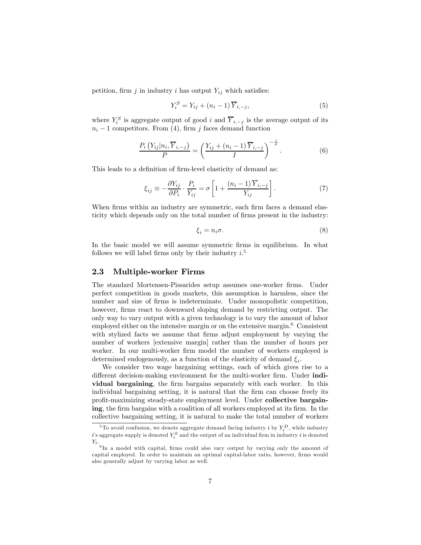petition, firm j in industry i has output  $Y_{ij}$  which satisfies:

$$
Y_i^S = Y_{ij} + (n_i - 1)\overline{Y}_{i, -j},\tag{5}
$$

where  $Y_i^S$  is aggregate output of good i and  $\overline{Y}_{i,-j}$  is the average output of its  $n_i - 1$  competitors. From (4), firm j faces demand function

$$
\frac{P_i\left(Y_{ij}|n_i,\overline{Y}_{i,-j}\right)}{P} = \left(\frac{Y_{ij} + (n_i - 1)\overline{Y}_{i,-j}}{I}\right)^{-\frac{1}{\sigma}}.\tag{6}
$$

This leads to a definition of firm-level elasticity of demand as:

$$
\xi_{ij} \equiv -\frac{\partial Y_{ij}}{\partial P_i} \cdot \frac{P_i}{Y_{ij}} = \sigma \left[ 1 + \frac{(n_i - 1)\overline{Y}_{i, -j}}{Y_{ij}} \right].
$$
\n(7)

When firms within an industry are symmetric, each firm faces a demand elasticity which depends only on the total number of firms present in the industry:

$$
\xi_i = n_i \sigma. \tag{8}
$$

In the basic model we will assume symmetric firms in equilibrium. In what follows we will label firms only by their industry  $i$ <sup>5</sup>

### 2.3 Multiple-worker Firms

The standard Mortensen-Pissarides setup assumes one-worker firms. Under perfect competition in goods markets, this assumption is harmless, since the number and size of firms is indeterminate. Under monopolistic competition, however, firms react to downward sloping demand by restricting output. The only way to vary output with a given technology is to vary the amount of labor employed either on the intensive margin or on the extensive margin.<sup>6</sup> Consistent with stylized facts we assume that firms adjust employment by varying the number of workers [extensive margin] rather than the number of hours per worker. In our multi-worker firm model the number of workers employed is determined endogenously, as a function of the elasticity of demand  $\xi_i$ .

We consider two wage bargaining settings, each of which gives rise to a different decision-making environment for the multi-worker firm. Under individual bargaining, the firm bargains separately with each worker. In this individual bargaining setting, it is natural that the firm can choose freely its profit-maximizing steady-state employment level. Under collective bargaining, the firm bargains with a coalition of all workers employed at its firm. In the collective bargaining setting, it is natural to make the total number of workers

<sup>&</sup>lt;sup>5</sup>To avoid confusion, we denote aggregate demand facing industry *i* by  $Y_i^D$ , while industry  $i$ 's aggregate supply is denoted  $Y_i^S$  and the output of an individual firm in industry  $i$  is denoted  $Y_i$  .

 ${}^{6}$ In a model with capital, firms could also vary output by varying only the amount of capital employed. In order to maintain an optimal capital-labor ratio, however, firms would also generally adjust by varying labor as well.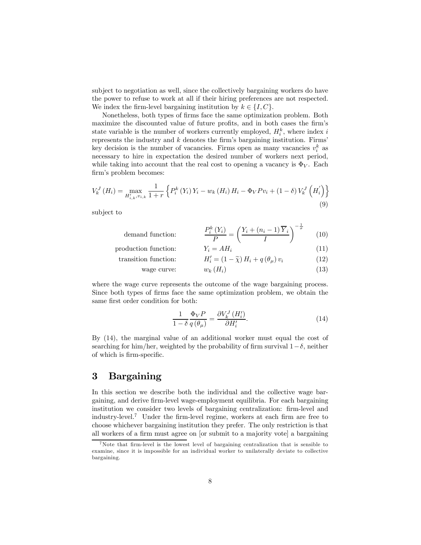subject to negotiation as well, since the collectively bargaining workers do have the power to refuse to work at all if their hiring preferences are not respected. We index the firm-level bargaining institution by  $k \in \{I, C\}$ .

Nonetheless, both types of firms face the same optimization problem. Both maximize the discounted value of future profits, and in both cases the firm's state variable is the number of workers currently employed,  $H_i^k$ , where index i represents the industry and  $k$  denotes the firm's bargaining institution. Firms' key decision is the number of vacancies. Firms open as many vacancies  $v_i^k$  as necessary to hire in expectation the desired number of workers next period, while taking into account that the real cost to opening a vacancy is  $\Phi_V$ . Each firm's problem becomes:

$$
V_{k}^{J}(H_{i}) = \max_{H'_{i,k}, v_{i,k}} \frac{1}{1+r} \left\{ P_{i}^{k}(Y_{i}) Y_{i} - w_{k}(H_{i}) H_{i} - \Phi_{V} P v_{i} + (1-\delta) V_{k}^{J}(H'_{i}) \right\}
$$
\n(9)

subject to

$$
\text{ demand function:} \qquad \qquad \frac{P_i^k(Y_i)}{P} = \left(\frac{Y_i + (n_i - 1)\overline{Y}_i}{I}\right)^{-\frac{1}{\sigma}} \qquad (10)
$$

$$
\begin{array}{ll}\n\text{production function:} & Y_i = AH_i & (11) \\
\text{transition function:} & H'_i = (1 - \tilde{\chi}) H_i + q(\theta_\mu) v_i & (12)\n\end{array}
$$

$$
wage curve: \t w_k(H_i) \t (13)
$$

where the wage curve represents the outcome of the wage bargaining process. Since both types of firms face the same optimization problem, we obtain the same first order condition for both:

$$
\frac{1}{1-\delta} \frac{\Phi_V P}{q(\theta_\mu)} = \frac{\partial V_k^J \left( H_i' \right)}{\partial H_i'}.
$$
\n(14)

By (14), the marginal value of an additional worker must equal the cost of searching for him/her, weighted by the probability of firm survival  $1-\delta$ , neither of which is firm-specific.

## 3 Bargaining

In this section we describe both the individual and the collective wage bargaining, and derive firm-level wage-employment equilibria. For each bargaining institution we consider two levels of bargaining centralization: firm-level and industry-level.7 Under the firm-level regime, workers at each firm are free to choose whichever bargaining institution they prefer. The only restriction is that all workers of a firm must agree on [or submit to a majority vote] a bargaining

<sup>7</sup>Note that firm-level is the lowest level of bargaining centralization that is sensible to examine, since it is impossible for an individual worker to unilaterally deviate to collective bargaining.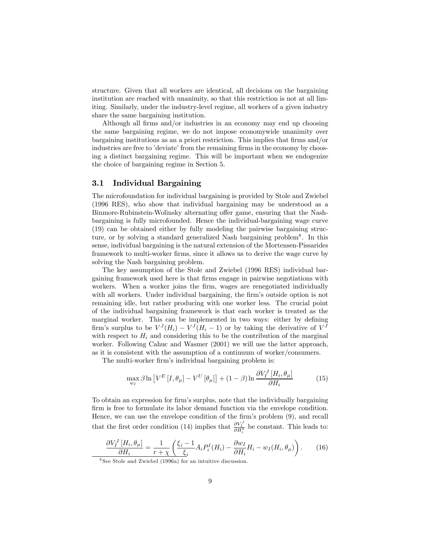structure. Given that all workers are identical, all decisions on the bargaining institution are reached with unanimity, so that this restriction is not at all limiting. Similarly, under the industry-level regime, all workers of a given industry share the same bargaining institution.

Although all firms and/or industries in an economy may end up choosing the same bargaining regime, we do not impose economywide unanimity over bargaining institutions as an a priori restriction. This implies that firms and/or industries are free to 'deviate' from the remaining firms in the economy by choosing a distinct bargaining regime. This will be important when we endogenize the choice of bargaining regime in Section 5.

### 3.1 Individual Bargaining

The microfoundation for individual bargaining is provided by Stole and Zwiebel (1996 RES), who show that individual bargaining may be understood as a Binmore-Rubinstein-Wolinsky alternating offer game, ensuring that the Nashbargaining is fully microfounded. Hence the individual-bargaining wage curve (19) can be obtained either by fully modeling the pairwise bargaining structure, or by solving a standard generalized Nash bargaining problem<sup>8</sup>. In this sense, individual bargaining is the natural extension of the Mortensen-Pissarides framework to multi-worker firms, since it allows us to derive the wage curve by solving the Nash bargaining problem.

The key assumption of the Stole and Zwiebel (1996 RES) individual bargaining framework used here is that firms engage in pairwise negotiations with workers. When a worker joins the firm, wages are renegotiated individually with all workers. Under individual bargaining, the firm's outside option is not remaining idle, but rather producing with one worker less. The crucial point of the individual bargaining framework is that each worker is treated as the marginal worker. This can be implemented in two ways: either by defining firm's surplus to be  $V^J(H_i) - V^J(H_i - 1)$  or by taking the derivative of  $V^J$ with respect to  $H_i$  and considering this to be the contribution of the marginal worker. Following Cahuc and Wasmer (2001) we will use the latter approach, as it is consistent with the assumption of a continuum of worker/consumers.

The multi-worker firm's individual bargaining problem is:

$$
\max_{w_I} \beta \ln \left[ V^E \left[ I, \theta_\mu \right] - V^U \left[ \theta_\mu \right] \right] + (1 - \beta) \ln \frac{\partial V_I^J \left[ H_i, \theta_\mu \right]}{\partial H_i} \tag{15}
$$

To obtain an expression for firm's surplus, note that the individually bargaining firm is free to formulate its labor demand function via the envelope condition. Hence, we can use the envelope condition of the firm's problem (9), and recall that the first order condition (14) implies that  $\frac{\partial V_I^J}{\partial H_i^k}$  be constant. This leads to:

$$
\frac{\partial V_I^J \left[ H_i, \theta_\mu \right]}{\partial H_i} = \frac{1}{r + \chi} \left( \frac{\xi_i - 1}{\xi_i} A_i P_i^I (H_i) - \frac{\partial w_I}{\partial H_i} H_i - w_I (H_i, \theta_\mu) \right). \tag{16}
$$

<sup>8</sup> See Stole and Zwiebel (1996a) for an intuitive discussion.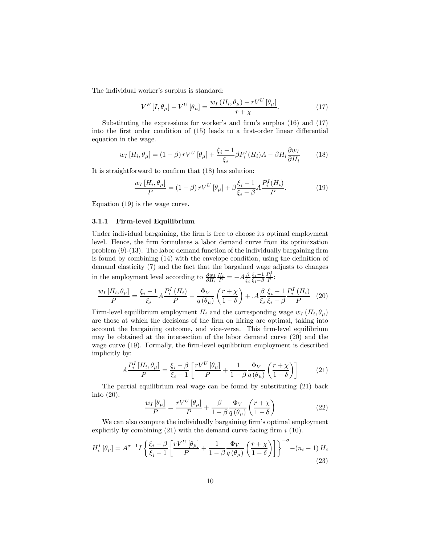The individual worker's surplus is standard:

$$
V^{E}[I,\theta_{\mu}] - V^{U}[\theta_{\mu}] = \frac{w_{I}(H_{i},\theta_{\mu}) - rV^{U}[\theta_{\mu}]}{r + \chi}.
$$
 (17)

Substituting the expressions for worker's and firm's surplus (16) and (17) into the first order condition of (15) leads to a first-order linear differential equation in the wage.

$$
w_I \left[ H_i, \theta_\mu \right] = \left( 1 - \beta \right) r V^U \left[ \theta_\mu \right] + \frac{\xi_i - 1}{\xi_i} \beta P_i^I(H_i) A - \beta H_i \frac{\partial w_I}{\partial H_i} \tag{18}
$$

It is straightforward to confirm that (18) has solution:

$$
\frac{w_I [H_i, \theta_\mu]}{P} = (1 - \beta) r V^U [\theta_\mu] + \beta \frac{\xi_i - 1}{\xi_i - \beta} A \frac{P_i^I (H_i)}{P}.
$$
 (19)

Equation (19) is the wage curve.

#### 3.1.1 Firm-level Equilibrium

Under individual bargaining, the firm is free to choose its optimal employment level. Hence, the firm formulates a labor demand curve from its optimization problem (9)-(13). The labor demand function of the individually bargaining firm is found by combining (14) with the envelope condition, using the definition of demand elasticity (7) and the fact that the bargained wage adjusts to changes in the employment level according to  $\frac{\partial w_I}{\partial H_i} \frac{H_i}{P} = -A \frac{\beta}{\xi_i} \frac{\xi_i - 1}{\xi_i - \beta}$  $\xi_i-\beta$  $\frac{P_i^I}{P}$ :

$$
\frac{w_I\left[H_i, \theta_\mu\right]}{P} = \frac{\xi_i - 1}{\xi_i} A \frac{P_i^I\left(H_i\right)}{P} - \frac{\Phi_V}{q\left(\theta_\mu\right)} \left(\frac{r + \chi}{1 - \delta}\right) + .A \frac{\beta}{\xi_i} \frac{\xi_i - 1}{\xi_i - \beta} \frac{P_i^I\left(H_i\right)}{P} \tag{20}
$$

Firm-level equilibrium employment  $H_i$  and the corresponding wage  $w_I (H_i, \theta_\mu)$ are those at which the decisions of the firm on hiring are optimal, taking into account the bargaining outcome, and vice-versa. This firm-level equilibrium may be obtained at the intersection of the labor demand curve (20) and the wage curve (19). Formally, the firm-level equilibrium employment is described implicitly by:

$$
A\frac{P_i^I\left[H_i, \theta_\mu\right]}{P} = \frac{\xi_i - \beta}{\xi_i - 1} \left[\frac{rV^U\left[\theta_\mu\right]}{P} + \frac{1}{1 - \beta} \frac{\Phi_V}{q\left(\theta_\mu\right)} \left(\frac{r + \chi}{1 - \delta}\right)\right]
$$
(21)

The partial equilibrium real wage can be found by substituting (21) back into (20).

$$
\frac{w_I \left[\theta_\mu\right]}{P} = \frac{rV^U \left[\theta_\mu\right]}{P} + \frac{\beta}{1-\beta} \frac{\Phi_V}{q\left(\theta_\mu\right)} \left(\frac{r+\chi}{1-\delta}\right) \tag{22}
$$

We can also compute the individually bargaining firm's optimal employment explicitly by combining  $(21)$  with the demand curve facing firm  $i$   $(10)$ .

$$
H_i^I\left[\theta_\mu\right] = A^{\sigma-1} I \left\{ \frac{\xi_i - \beta}{\xi_i - 1} \left[ \frac{rV^U\left[\theta_\mu\right]}{P} + \frac{1}{1 - \beta} \frac{\Phi_V}{q\left(\theta_\mu\right)} \left( \frac{r + \chi}{1 - \delta} \right) \right] \right\}^{-\sigma} - (n_i - 1) \overline{H}_i \tag{23}
$$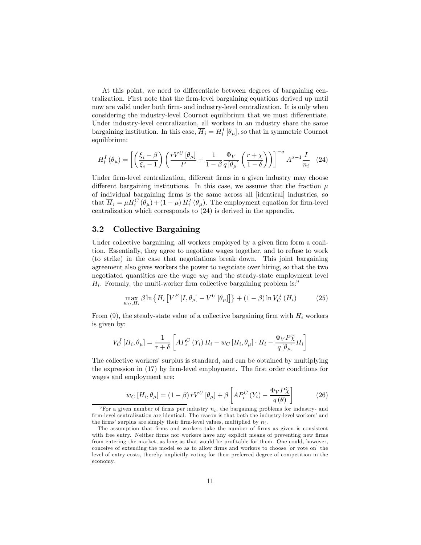At this point, we need to differentiate between degrees of bargaining centralization. First note that the firm-level bargaining equations derived up until now are valid under both firm- and industry-level centralization. It is only when considering the industry-level Cournot equilibrium that we must differentiate. Under industry-level centralization, all workers in an industry share the same bargaining institution. In this case,  $\overline{H}_i = H_i^I[\theta_\mu]$ , so that in symmetric Cournot equilibrium:

$$
H_i^I(\theta_\mu) = \left[ \left( \frac{\xi_i - \beta}{\xi_i - 1} \right) \left( \frac{r V^U[\theta_\mu]}{P} + \frac{1}{1 - \beta} \frac{\Phi_V}{q[\theta_\mu]} \left( \frac{r + \chi}{1 - \delta} \right) \right) \right]^{-\sigma} A^{\sigma - 1} \frac{I}{n_i} \tag{24}
$$

Under firm-level centralization, different firms in a given industry may choose different bargaining institutions. In this case, we assume that the fraction  $\mu$ of individual bargaining firms is the same across all [identical] industries, so that  $\overline{H}_i = \mu H_i^C(\theta_\mu) + (1 - \mu) H_i^I(\theta_\mu)$ . The employment equation for firm-level centralization which corresponds to (24) is derived in the appendix.

### 3.2 Collective Bargaining

Under collective bargaining, all workers employed by a given firm form a coalition. Essentially, they agree to negotiate wages together, and to refuse to work (to strike) in the case that negotiations break down. This joint bargaining agreement also gives workers the power to negotiate over hiring, so that the two negotiated quantities are the wage  $w<sub>C</sub>$  and the steady-state employment level  $H_i$ . Formaly, the multi-worker firm collective bargaining problem is:<sup>9</sup>

$$
\max_{w_C, H_i} \beta \ln \left\{ H_i \left[ V^E \left[ I, \theta_\mu \right] - V^U \left[ \theta_\mu \right] \right] \right\} + (1 - \beta) \ln V^J_C \left( H_i \right) \tag{25}
$$

From (9), the steady-state value of a collective bargaining firm with  $H_i$  workers is given by:

$$
V_C^J\left[H_i, \theta_\mu\right] = \frac{1}{r+\delta}\left[AP_i^C\left(Y_i\right)H_i - w_C\left[H_i, \theta_\mu\right]\cdot H_i - \frac{\Phi_V P \widetilde{\chi}}{q\left[\theta_\mu\right]}H_i\right]
$$

The collective workers' surplus is standard, and can be obtained by multiplying the expression in (17) by firm-level employment. The first order conditions for wages and employment are:

$$
w_C \left[ H_i, \theta_\mu \right] = (1 - \beta) r V^U \left[ \theta_\mu \right] + \beta \left[ A P_i^C \left( Y_i \right) - \frac{\Phi_V P \widetilde{\chi}}{q \left( \theta \right)} \right] \tag{26}
$$

<sup>&</sup>lt;sup>9</sup>For a given number of firms per industry  $n_i$ , the bargaining problems for industry- and firm-level centralization are identical. The reason is that both the industry-level workers' and the firms' surplus are simply their firm-level values, multiplied by  $n_i$ .

The assumption that firms and workers take the number of firms as given is consistent with free entry. Neither firms nor workers have any explicit means of preventing new firms from entering the market, as long as that would be profitable for them. One could, however, conceive of extending the model so as to allow firms and workers to choose [or vote on] the level of entry costs, thereby implicitly voting for their preferred degree of competition in the economy.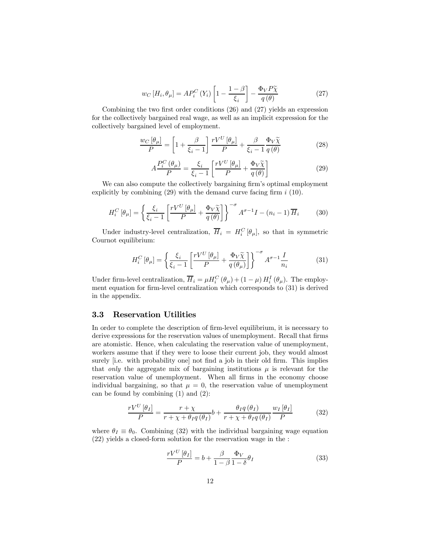$$
w_C\left[H_i, \theta_\mu\right] = AP_i^C\left(Y_i\right) \left[1 - \frac{1 - \beta}{\xi_i}\right] - \frac{\Phi_V P \widetilde{\chi}}{q\left(\theta\right)}\tag{27}
$$

Combining the two first order conditions (26) and (27) yields an expression for the collectively bargained real wage, as well as an implicit expression for the collectively bargained level of employment.

$$
\frac{w_C[\theta_\mu]}{P} = \left[1 + \frac{\beta}{\xi_i - 1}\right] \frac{rV^U[\theta_\mu]}{P} + \frac{\beta}{\xi_i - 1} \frac{\Phi_V \tilde{\chi}}{q(\theta)}\tag{28}
$$

$$
A\frac{P_i^C(\theta_\mu)}{P} = \frac{\xi_i}{\xi_i - 1} \left[ \frac{rV^U[\theta_\mu]}{P} + \frac{\Phi_V \tilde{\chi}}{q(\theta)} \right]
$$
(29)

We can also compute the collectively bargaining firm's optimal employment explicitly by combining  $(29)$  with the demand curve facing firm  $i(10)$ .

$$
H_i^C\left[\theta_\mu\right] = \left\{\frac{\xi_i}{\xi_i - 1} \left[\frac{rV^U\left[\theta_\mu\right]}{P} + \frac{\Phi_V\widetilde{\chi}}{q\left(\theta\right)}\right]\right\}^{-\sigma} A^{\sigma - 1}I - (n_i - 1)\overline{H}_i\tag{30}
$$

Under industry-level centralization,  $\overline{H}_i = H_i^C[\theta_\mu]$ , so that in symmetric Cournot equilibrium:

$$
H_i^C \left[ \theta_{\mu} \right] = \left\{ \frac{\xi_i}{\xi_i - 1} \left[ \frac{rV^U \left[ \theta_{\mu} \right]}{P} + \frac{\Phi_V \tilde{\chi}}{q \left( \theta_{\mu} \right)} \right] \right\}^{-\sigma} A^{\sigma - 1} \frac{I}{n_i}
$$
(31)

Under firm-level centralization,  $\overline{H}_i = \mu H_i^C (\theta_\mu) + (1 - \mu) H_i^I (\theta_\mu)$ . The employment equation for firm-level centralization which corresponds to (31) is derived in the appendix.

### 3.3 Reservation Utilities

In order to complete the description of firm-level equilibrium, it is necessary to derive expressions for the reservation values of unemployment. Recall that firms are atomistic. Hence, when calculating the reservation value of unemployment, workers assume that if they were to loose their current job, they would almost surely [i.e. with probability one] not find a job in their old firm. This implies that only the aggregate mix of bargaining institutions  $\mu$  is relevant for the reservation value of unemployment. When all firms in the economy choose individual bargaining, so that  $\mu = 0$ , the reservation value of unemployment can be found by combining (1) and (2):

$$
\frac{rV^U[\theta_I]}{P} = \frac{r + \chi}{r + \chi + \theta_I q(\theta_I)} b + \frac{\theta_I q(\theta_I)}{r + \chi + \theta_I q(\theta_I)} \frac{w_I[\theta_I]}{P}
$$
(32)

where  $\theta_I \equiv \theta_0$ . Combining (32) with the individual bargaining wage equation (22) yields a closed-form solution for the reservation wage in the :

$$
\frac{rV^U[\theta_I]}{P} = b + \frac{\beta}{1-\beta} \frac{\Phi_V}{1-\delta} \theta_I \tag{33}
$$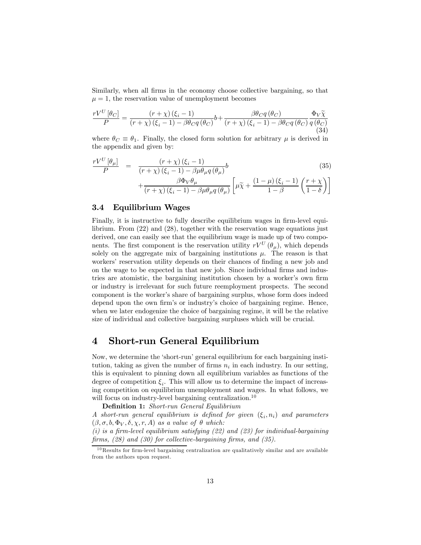Similarly, when all firms in the economy choose collective bargaining, so that  $\mu = 1$ , the reservation value of unemployment becomes

$$
\frac{rV^{U}\left[\theta_{C}\right]}{P} = \frac{\left(r+\chi\right)\left(\xi_{i}-1\right)}{\left(r+\chi\right)\left(\xi_{i}-1\right)-\beta\theta_{C}q\left(\theta_{C}\right)}b + \frac{\beta\theta_{C}q\left(\theta_{C}\right)}{\left(r+\chi\right)\left(\xi_{i}-1\right)-\beta\theta_{C}q\left(\theta_{C}\right)}\frac{\Phi_{V}\widetilde{\chi}}{q\left(\theta_{C}\right)}\tag{34}
$$

where  $\theta_C \equiv \theta_1$ . Finally, the closed form solution for arbitrary  $\mu$  is derived in the appendix and given by:

$$
\frac{rV^{U}[\theta_{\mu}]}{P} = \frac{(r+\chi)(\xi_{i}-1)}{(r+\chi)(\xi_{i}-1)-\beta\mu\theta_{\mu}q(\theta_{\mu})}b + \frac{\beta\Phi_{V}\theta_{\mu}}{(r+\chi)(\xi_{i}-1)-\beta\mu\theta_{\mu}q(\theta_{\mu})}\left[\mu\tilde{\chi}+\frac{(1-\mu)(\xi_{i}-1)}{1-\beta}\left(\frac{r+\chi}{1-\delta}\right)\right]
$$
\n(35)

### 3.4 Equilibrium Wages

Finally, it is instructive to fully describe equilibrium wages in firm-level equilibrium. From (22) and (28), together with the reservation wage equations just derived, one can easily see that the equilibrium wage is made up of two components. The first component is the reservation utility  $rV^U(\theta_\mu)$ , which depends solely on the aggregate mix of bargaining institutions  $\mu$ . The reason is that workers' reservation utility depends on their chances of finding a new job and on the wage to be expected in that new job. Since individual firms and industries are atomistic, the bargaining institution chosen by a worker's own firm or industry is irrelevant for such future reemployment prospects. The second component is the worker's share of bargaining surplus, whose form does indeed depend upon the own firm's or industry's choice of bargaining regime. Hence, when we later endogenize the choice of bargaining regime, it will be the relative size of individual and collective bargaining surpluses which will be crucial.

### 4 Short-run General Equilibrium

Now, we determine the 'short-run' general equilibrium for each bargaining institution, taking as given the number of firms  $n_i$  in each industry. In our setting, this is equivalent to pinning down all equilibrium variables as functions of the degree of competition  $\xi_i$ . This will allow us to determine the impact of increasing competition on equilibrium unemployment and wages. In what follows, we will focus on industry-level bargaining centralization.<sup>10</sup>

Definition 1: Short-run General Equilibrium

A short-run general equilibrium is defined for given  $(\xi_i, n_i)$  and parameters  $(\beta, \sigma, b, \Phi_V, \delta, \chi, r, A)$  as a value of  $\theta$  which:

 $(i)$  is a firm-level equilibrium satisfying  $(22)$  and  $(23)$  for individual-bargaining firms, (28) and (30) for collective-bargaining firms, and (35).

 $^{10}\mathrm{Results}$  for firm-level bargaining centralization are qualitatively similar and are available from the authors upon request.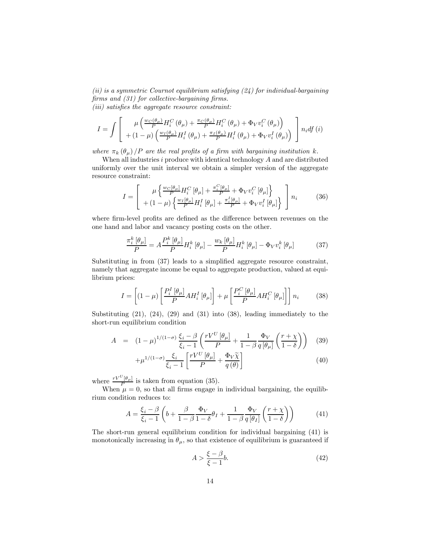(ii) is a symmetric Cournot equilibrium satisfying  $(24)$  for individual-bargaining firms and (31) for collective-bargaining firms. (iii) satisfies the aggregate resource constraint:

$$
I = \int \left[ \begin{array}{c} \mu \left( \frac{w_C(\theta_\mu)}{P} H_i^C(\theta_\mu) + \frac{\pi_C(\theta_\mu)}{P} H_i^C(\theta_\mu) + \Phi_V v_i^C(\theta_\mu) \right) \\ + (1 - \mu) \left( \frac{w_I(\theta_\mu)}{P} H_i^I(\theta_\mu) + \frac{\pi_I(\theta_\mu)}{P} H_i^I(\theta_\mu) + \Phi_V v_i^I(\theta_\mu) \right) \end{array} \right] n_i df (i)
$$

where  $\pi_k(\theta_\mu)/P$  are the real profits of a firm with bargaining institution k.

When all industries  $i$  produce with identical technology  $A$  and are distributed uniformly over the unit interval we obtain a simpler version of the aggregate resource constraint:

$$
I = \left[ \begin{array}{c} \mu \left\{ \frac{w_C[\theta_{\mu}]}{P} H_i^C[\theta_{\mu}] + \frac{\pi_i^C[\theta_{\mu}]}{P} + \Phi_V v_i^C[\theta_{\mu}] \right\} \\ + (1 - \mu) \left\{ \frac{w_I[\theta_{\mu}]}{P} H_i^I[\theta_{\mu}] + \frac{\pi_i^I[\theta_{\mu}]}{P} + \Phi_V v_i^I[\theta_{\mu}] \right\} \end{array} \right] n_i \tag{36}
$$

where firm-level profits are defined as the difference between revenues on the one hand and labor and vacancy posting costs on the other.

$$
\frac{\pi_i^k \left[\theta_\mu\right]}{P} = A \frac{P_i^k \left[\theta_\mu\right]}{P} H_i^k \left[\theta_\mu\right] - \frac{w_k \left[\theta_\mu\right]}{P} H_i^k \left[\theta_\mu\right] - \Phi_V v_i^k \left[\theta_\mu\right] \tag{37}
$$

Substituting in from (37) leads to a simplified aggregate resource constraint, namely that aggregate income be equal to aggregate production, valued at equilibrium prices:

$$
I = \left[ (1 - \mu) \left[ \frac{P_i^I \left[ \theta_{\mu} \right]}{P} A H_i^I \left[ \theta_{\mu} \right] \right] + \mu \left[ \frac{P_i^C \left[ \theta_{\mu} \right]}{P} A H_i^C \left[ \theta_{\mu} \right] \right] \right] n_i \tag{38}
$$

Substituting  $(21)$ ,  $(24)$ ,  $(29)$  and  $(31)$  into  $(38)$ , leading immediately to the short-run equilibrium condition

$$
A = (1 - \mu)^{1/(1 - \sigma)} \frac{\xi_i - \beta}{\xi_i - 1} \left( \frac{rV^U[\theta_\mu]}{P} + \frac{1}{1 - \beta} \frac{\Phi_V}{q[\theta_\mu]} \left( \frac{r + \chi}{1 - \delta} \right) \right) (39)
$$

$$
+\mu^{1/(1-\sigma)}\frac{\xi_i}{\xi_i-1}\left[\frac{rV^U\left[\theta_\mu\right]}{P}+\frac{\Phi_V\widetilde{\chi}}{q\left(\theta\right)}\right]
$$
(40)

where  $\frac{rV^U[\theta_\mu]}{P}$  is taken from equation (35).

When  $\mu = 0$ , so that all firms engage in individual bargaining, the equilibrium condition reduces to:

$$
A = \frac{\xi_i - \beta}{\xi_i - 1} \left( b + \frac{\beta}{1 - \beta} \frac{\Phi_V}{1 - \delta} \theta_I + \frac{1}{1 - \beta} \frac{\Phi_V}{q[\theta_I]} \left( \frac{r + \chi}{1 - \delta} \right) \right) \tag{41}
$$

The short-run general equilibrium condition for individual bargaining (41) is monotonically increasing in  $\theta_{\mu}$ , so that existence of equilibrium is guaranteed if

$$
A > \frac{\xi - \beta}{\xi - 1}b.\tag{42}
$$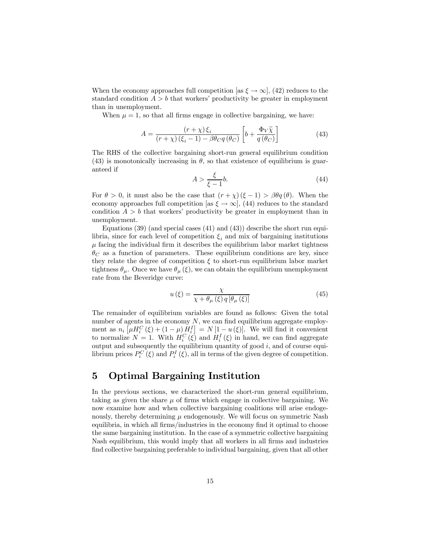When the economy approaches full competition [as  $\xi \to \infty$ ], (42) reduces to the standard condition  $A > b$  that workers' productivity be greater in employment than in unemployment.

When  $\mu = 1$ , so that all firms engage in collective bargaining, we have:

$$
A = \frac{(r + \chi)\,\xi_i}{(r + \chi)\,(\xi_i - 1) - \beta\theta_{C}q\,(\theta_C)} \left[b + \frac{\Phi_V \widetilde{\chi}}{q\,(\theta_C)}\right] \tag{43}
$$

The RHS of the collective bargaining short-run general equilibrium condition (43) is monotonically increasing in  $\theta$ , so that existence of equilibrium is guaranteed if

$$
A > \frac{\xi}{\xi - 1}b.\tag{44}
$$

For  $\theta > 0$ , it must also be the case that  $(r + \chi)(\xi - 1) > \beta \theta q(\theta)$ . When the economy approaches full competition [as  $\xi \to \infty$ ], (44) reduces to the standard condition  $A > b$  that workers' productivity be greater in employment than in unemployment.

Equations  $(39)$  (and special cases  $(41)$  and  $(43)$ ) describe the short run equilibria, since for each level of competition  $\xi_i$  and mix of bargaining institutions  $\mu$  facing the individual firm it describes the equilibrium labor market tightness  $\theta_C$  as a function of parameters. These equilibrium conditions are key, since they relate the degree of competition  $\xi$  to short-run equilibrium labor market tightness  $\theta_{\mu}$ . Once we have  $\theta_{\mu}(\xi)$ , we can obtain the equilibrium unemployment rate from the Beveridge curve:

$$
u(\xi) = \frac{\chi}{\chi + \theta_{\mu}(\xi) q \left[\theta_{\mu}(\xi)\right]}
$$
(45)

The remainder of equilibrium variables are found as follows: Given the total number of agents in the economy  $N$ , we can find equilibrium aggregate employment as  $n_i \left[ \mu H_i^C(\xi) + (1 - \mu) H_i^I \right] = N \left[ 1 - u(\xi) \right]$ . We will find it convenient to normalize  $N = 1$ . With  $H_i^C(\xi)$  and  $H_i^I(\xi)$  in hand, we can find aggregate output and subsequently the equilibrium quantity of good  $i$ , and of course equilibrium prices  $P_i^C(\xi)$  and  $P_i^I(\xi)$ , all in terms of the given degree of competition.

## 5 Optimal Bargaining Institution

In the previous sections, we characterized the short-run general equilibrium, taking as given the share  $\mu$  of firms which engage in collective bargaining. We now examine how and when collective bargaining coalitions will arise endogenously, thereby determining  $\mu$  endogenously. We will focus on symmetric Nash equilibria, in which all firms/industries in the economy find it optimal to choose the same bargaining institution. In the case of a symmetric collective bargaining Nash equilibrium, this would imply that all workers in all firms and industries find collective bargaining preferable to individual bargaining, given that all other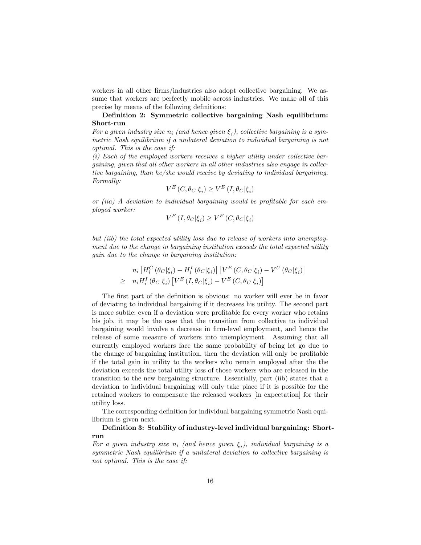workers in all other firms/industries also adopt collective bargaining. We assume that workers are perfectly mobile across industries. We make all of this precise by means of the following definitions:

### Definition 2: Symmetric collective bargaining Nash equilibrium: Short-run

For a given industry size  $n_i$  (and hence given  $\xi_i$ ), collective bargaining is a symmetric Nash equilibrium if a unilateral deviation to individual bargaining is not optimal. This is the case if:

(i) Each of the employed workers receives a higher utility under collective bargaining, given that all other workers in all other industries also engage in collective bargaining, than he/she would receive by deviating to individual bargaining. Formally:

$$
V^{E}(C, \theta_{C}|\xi_{i}) \ge V^{E}(I, \theta_{C}|\xi_{i})
$$

or (iia) A deviation to individual bargaining would be profitable for each employed worker:

$$
V^{E} (I, \theta_{C} | \xi_{i}) \geq V^{E} (C, \theta_{C} | \xi_{i})
$$

but (iib) the total expected utility loss due to release of workers into unemployment due to the change in bargaining institution exceeds the total expected utility gain due to the change in bargaining institution:

$$
n_i \left[ H_i^C \left( \theta_C | \xi_i \right) - H_i^I \left( \theta_C | \xi_i \right) \right] \left[ V^E \left( C, \theta_C | \xi_i \right) - V^U \left( \theta_C | \xi_i \right) \right]
$$
  
\n
$$
\geq n_i H_i^I \left( \theta_C | \xi_i \right) \left[ V^E \left( I, \theta_C | \xi_i \right) - V^E \left( C, \theta_C | \xi_i \right) \right]
$$

The first part of the definition is obvious: no worker will ever be in favor of deviating to individual bargaining if it decreases his utility. The second part is more subtle: even if a deviation were profitable for every worker who retains his job, it may be the case that the transition from collective to individual bargaining would involve a decrease in firm-level employment, and hence the release of some measure of workers into unemployment. Assuming that all currently employed workers face the same probability of being let go due to the change of bargaining institution, then the deviation will only be profitable if the total gain in utility to the workers who remain employed after the the deviation exceeds the total utility loss of those workers who are released in the transition to the new bargaining structure. Essentially, part (iib) states that a deviation to individual bargaining will only take place if it is possible for the retained workers to compensate the released workers [in expectation] for their utility loss.

The corresponding definition for individual bargaining symmetric Nash equilibrium is given next.

Definition 3: Stability of industry-level individual bargaining: Shortrun

For a given industry size  $n_i$  (and hence given  $\xi_i$ ), individual bargaining is a symmetric Nash equilibrium if a unilateral deviation to collective bargaining is not optimal. This is the case if: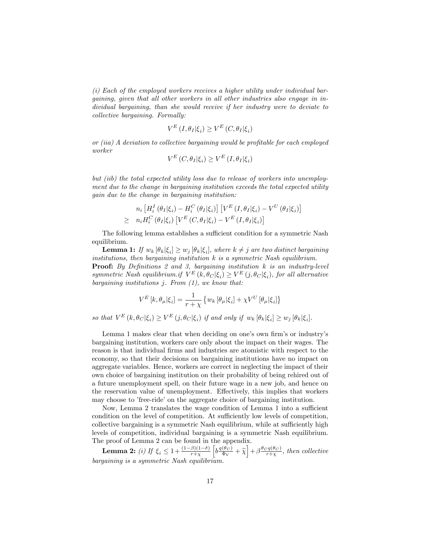(i) Each of the employed workers receives a higher utility under individual bargaining, given that all other workers in all other industries also engage in individual bargaining, than she would receive if her industry were to deviate to collective bargaining. Formally:

$$
V^{E} (I, \theta_{I} | \xi_{i}) \geq V^{E} (C, \theta_{I} | \xi_{i})
$$

or (iia) A deviation to collective bargaining would be profitable for each employed worker

$$
V^{E}\left(C,\theta_{I}|\xi_{i}\right) \geq V^{E}\left(I,\theta_{I}|\xi_{i}\right)
$$

but (iib) the total expected utility loss due to release of workers into unemployment due to the change in bargaining institution exceeds the total expected utility gain due to the change in bargaining institution:

$$
n_i \left[ H_i^I \left( \theta_I | \xi_i \right) - H_i^C \left( \theta_I | \xi_i \right) \right] \left[ V^E \left( I, \theta_I | \xi_i \right) - V^U \left( \theta_I | \xi_i \right) \right]
$$
  
\n
$$
\geq n_i H_i^C \left( \theta_I | \xi_i \right) \left[ V^E \left( C, \theta_I | \xi_i \right) - V^E \left( I, \theta_I | \xi_i \right) \right]
$$

The following lemma establishes a sufficient condition for a symmetric Nash equilibrium.

**Lemma 1:** If  $w_k [\theta_k | \xi_i] \geq w_j [\theta_k | \xi_i]$ , where  $k \neq j$  are two distinct bargaining institutions, then bargaining institution  $k$  is a symmetric Nash equilibrium. **Proof:** By Definitions 2 and 3, bargaining institution  $k$  is an industry-level symmetric Nash equilibrium.if  $V^{E}(k, \theta_{C}|\xi_{i}) \geq V^{E}(j, \theta_{C}|\xi_{i})$ , for all alternative bargaining institutions  $i$ . From  $(1)$ , we know that:

$$
V^{E}[k, \theta_{\mu} | \xi_{i}] = \frac{1}{r + \chi} \left\{ w_{k} \left[ \theta_{\mu} | \xi_{i} \right] + \chi V^{U} \left[ \theta_{\mu} | \xi_{i} \right] \right\}
$$

so that  $V^E(k, \theta_C | \xi_i) \geq V^E(j, \theta_C | \xi_i)$  if and only if  $w_k [\theta_k | \xi_i] \geq w_i [\theta_k | \xi_i]$ .

Lemma 1 makes clear that when deciding on one's own firm's or industry's bargaining institution, workers care only about the impact on their wages. The reason is that individual firms and industries are atomistic with respect to the economy, so that their decisions on bargaining institutions have no impact on aggregate variables. Hence, workers are correct in neglecting the impact of their own choice of bargaining institution on their probability of being rehired out of a future unemployment spell, on their future wage in a new job, and hence on the reservation value of unemployment. Effectively, this implies that workers may choose to 'free-ride' on the aggregate choice of bargaining institution.

Now, Lemma 2 translates the wage condition of Lemma 1 into a sufficient condition on the level of competition. At sufficiently low levels of competition, collective bargaining is a symmetric Nash equilibrium, while at sufficiently high levels of competition, individual bargaining is a symmetric Nash equilibrium. The proof of Lemma 2 can be found in the appendix.

**Lemma 2:** (i) If  $\xi_i \leq 1 + \frac{(1-\beta)(1-\delta)}{r+\chi}$  $\left[b\frac{q(\theta_C)}{\Phi_V} + \tilde{\chi}\right] + \beta \frac{\theta_C q(\theta_C)}{r + \chi}, \text{ then collective}$ bargaining is a symmetric Nash equilibrium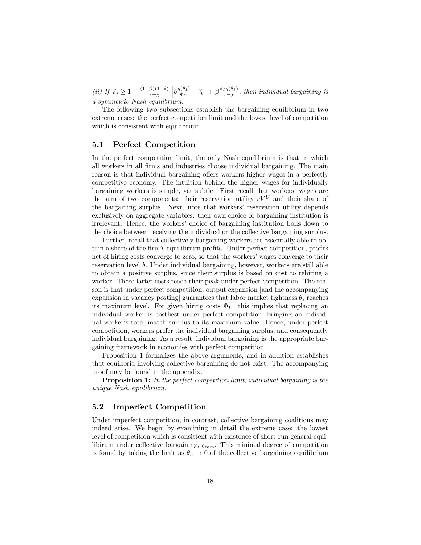(ii) If  $\xi_i \geq 1 + \frac{(1-\beta)(1-\delta)}{r+\chi}$  $\left[b\frac{q(\theta_I)}{\Phi_V} + \tilde{\chi}\right] + \beta\frac{\theta_I q(\theta_I)}{r+\chi},\, then\, \,individual\,\,bargaining\,\,is$ a symmetric Nash equilibrium.

The following two subsections establish the bargaining equilibrium in two extreme cases: the perfect competition limit and the lowest level of competition which is consistent with equilibrium.

### 5.1 Perfect Competition

In the perfect competition limit, the only Nash equilibrium is that in which all workers in all firms and industries choose individual bargaining. The main reason is that individual bargaining offers workers higher wages in a perfectly competitive economy. The intuition behind the higher wages for individually bargaining workers is simple, yet subtle. First recall that workers' wages are the sum of two components: their reservation utility  $rV^U$  and their share of the bargaining surplus. Next, note that workers' reservation utility depends exclusively on aggregate variables: their own choice of bargaining institution is irrelevant. Hence, the workers' choice of bargaining institution boils down to the choice between receiving the individual or the collective bargaining surplus.

Further, recall that collectively bargaining workers are essentially able to obtain a share of the firm's equilibrium profits. Under perfect competition, profits net of hiring costs converge to zero, so that the workers' wages converge to their reservation level b. Under individual bargaining, however, workers are still able to obtain a positive surplus, since their surplus is based on cost to rehiring a worker. These latter costs reach their peak under perfect competition. The reason is that under perfect competition, output expansion [and the accompanying expansion in vacancy posting] guarantees that labor market tightness  $\theta_i$  reaches its maximum level. For given hiring costs  $\Phi_V$ , this implies that replacing an individual worker is costliest under perfect competition, bringing an individual worker's total match surplus to its maximum value. Hence, under perfect competition, workers prefer the individual bargaining surplus, and consequently individual bargaining. As a result, individual bargaining is the appropriate bargaining framework in economies with perfect competition.

Proposition 1 formalizes the above arguments, and in addition establishes that equilibria involving collective bargaining do not exist. The accompanying proof may be found in the appendix.

**Proposition 1:** In the perfect competition limit, individual bargaining is the unique Nash equilibrium.

### 5.2 Imperfect Competition

Under imperfect competition, in contrast, collective bargaining coalitions may indeed arise. We begin by examining in detail the extreme case: the lowest level of competition which is consistent with existence of short-run general equilibirum under collective bargaining,  $\xi_{\text{min}}$ . This minimal degree of competition is found by taking the limit as  $\theta_c \rightarrow 0$  of the collective bargaining equilibrium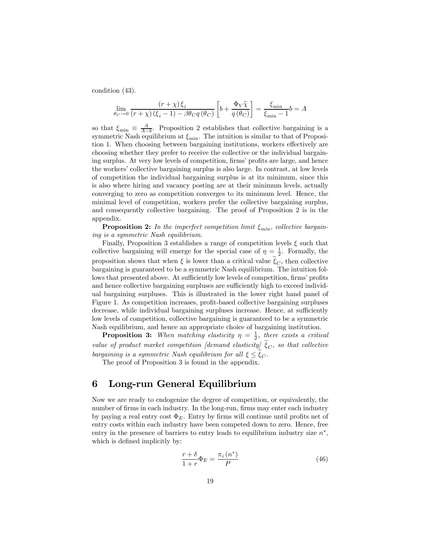condition (43).

$$
\lim_{\theta_C \to 0} \frac{(r+\chi)\,\xi_i}{(r+\chi)\,(\xi_i-1) - \beta\theta_C q\,(\theta_C)} \left[b + \frac{\Phi_V \widetilde{\chi}}{q\,(\theta_C)}\right] = \frac{\xi_{\text{min}}}{\xi_{\text{min}} - 1} b = A
$$

so that  $\xi_{\min} \equiv \frac{A}{A-b}$ . Proposition 2 establishes that collective bargaining is a symmetric Nash equilibrium at  $\xi_{\min}$ . The intuition is similar to that of Proposition 1. When choosing between bargaining institutions, workers effectively are choosing whether they prefer to receive the collective or the individual bargaining surplus. At very low levels of competition, firms' profits are large, and hence the workers' collective bargaining surplus is also large. In contrast, at low levels of competition the individual bargaining surplus is at its minimum, since this is also where hiring and vacancy posting are at their minimum levels, actually converging to zero as competition converges to its minimum level. Hence, the minimal level of competition, workers prefer the collective bargaining surplus, and consequently collective bargaining. The proof of Proposition 2 is in the appendix.

**Proposition 2:** In the imperfect competition limit  $\xi_{\text{min}}$ , collective bargaining is a symmetric Nash equilibrium.

Finally, Proposition 3 establishes a range of competition levels  $\xi$  such that collective bargaining will emerge for the special case of  $\eta = \frac{1}{2}$ . Formally, the proposition shows that when  $\xi$  is lower than a critical value  $\xi_C$ , then collective bargaining is guaranteed to be a symmetric Nash equilibrium. The intuition follows that presented above. At sufficiently low levels of competition, firms' profits and hence collective bargaining surpluses are sufficiently high to exceed individual bargaining surpluses. This is illustrated in the lower right hand panel of Figure 1. As competition increases, profit-based collective bargaining surpluses decrease, while individual bargaining surpluses increase. Hence, at sufficiently low levels of competition, collective bargaining is guaranteed to be a symmetric Nash equilibrium, and hence an appropriate choice of bargaining institution.

**Proposition 3:** When matching elasticity  $\eta = \frac{1}{2}$ , there exists a critical value of product market competition [demand elasticity]  $\tilde{\xi}_C$ , so that collective bargaining is a symmetric Nash equilibrium for all  $\xi \leq \xi_C$ .

The proof of Proposition 3 is found in the appendix.

## 6 Long-run General Equilibrium

Now we are ready to endogenize the degree of competition, or equivalently, the number of firms in each industry. In the long-run, firms may enter each industry by paying a real entry cost  $\Phi_E$ . Entry by firms will continue until profits net of entry costs within each industry have been competed down to zero. Hence, free entry in the presence of barriers to entry leads to equilibrium industry size  $n^*$ , which is defined implicitly by:

$$
\frac{r+\delta}{1+r}\Phi_E = \frac{\pi_i\left(n^*\right)}{P} \tag{46}
$$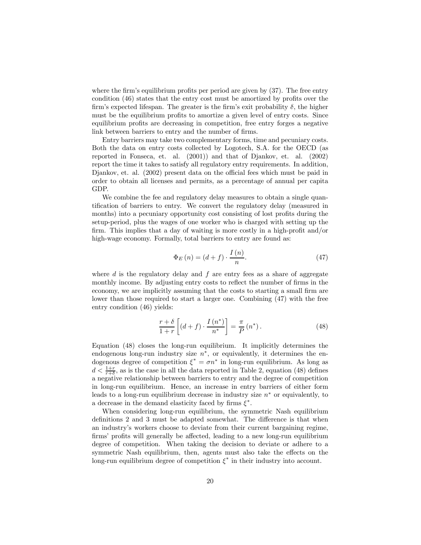where the firm's equilibrium profits per period are given by  $(37)$ . The free entry condition (46) states that the entry cost must be amortized by profits over the firm's expected lifespan. The greater is the firm's exit probability  $\delta$ , the higher must be the equilibrium profits to amortize a given level of entry costs. Since equilibrium profits are decreasing in competition, free entry forges a negative link between barriers to entry and the number of firms.

Entry barriers may take two complementary forms, time and pecuniary costs. Both the data on entry costs collected by Logotech, S.A. for the OECD (as reported in Fonseca, et. al. (2001)) and that of Djankov, et. al. (2002) report the time it takes to satisfy all regulatory entry requirements. In addition, Djankov, et. al. (2002) present data on the official fees which must be paid in order to obtain all licenses and permits, as a percentage of annual per capita GDP.

We combine the fee and regulatory delay measures to obtain a single quantification of barriers to entry. We convert the regulatory delay (measured in months) into a pecuniary opportunity cost consisting of lost profits during the setup-period, plus the wages of one worker who is charged with setting up the firm. This implies that a day of waiting is more costly in a high-profit and/or high-wage economy. Formally, total barriers to entry are found as:

$$
\Phi_E(n) = (d+f) \cdot \frac{I(n)}{n}.\tag{47}
$$

where  $d$  is the regulatory delay and  $f$  are entry fees as a share of aggregate monthly income. By adjusting entry costs to reflect the number of firms in the economy, we are implicitly assuming that the costs to starting a small firm are lower than those required to start a larger one. Combining (47) with the free entry condition (46) yields:

$$
\frac{r+\delta}{1+r}\left[(d+f)\cdot\frac{I\left(n^*\right)}{n^*}\right] = \frac{\pi}{P}\left(n^*\right). \tag{48}
$$

Equation (48) closes the long-run equilibrium. It implicitly determines the endogenous long-run industry size  $n<sup>*</sup>$ , or equivalently, it determines the endogenous degree of competition  $\xi^* = \sigma n^*$  in long-run equilibrium. As long as  $d < \frac{1+r}{r+\delta}$ , as is the case in all the data reported in Table 2, equation (48) defines a negative relationship between barriers to entry and the degree of competition in long-run equilibrium. Hence, an increase in entry barriers of either form leads to a long-run equilibrium decrease in industry size  $n^*$  or equivalently, to a decrease in the demand elasticity faced by firms  $\xi^*$ .

When considering long-run equilibrium, the symmetric Nash equilibrium definitions 2 and 3 must be adapted somewhat. The difference is that when an industry's workers choose to deviate from their current bargaining regime, firms' profits will generally be affected, leading to a new long-run equilibrium degree of competition. When taking the decision to deviate or adhere to a symmetric Nash equilibrium, then, agents must also take the effects on the long-run equilibrium degree of competition  $\xi^*$  in their industry into account.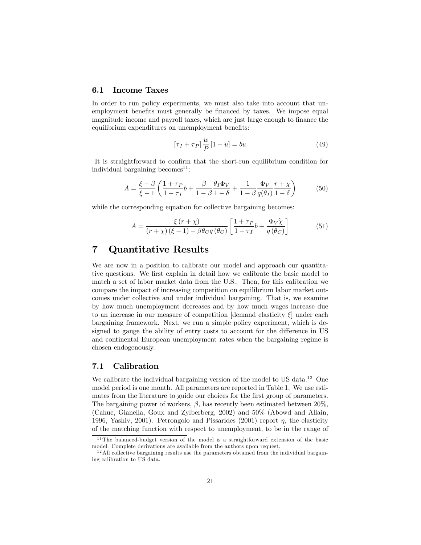### 6.1 Income Taxes

In order to run policy experiments, we must also take into account that unemployment benefits must generally be financed by taxes. We impose equal magnitude income and payroll taxes, which are just large enough to finance the equilibrium expenditures on unemployment benefits:

$$
\left[\tau_I + \tau_P\right] \frac{w}{P} \left[1 - u\right] = bu \tag{49}
$$

It is straightforward to confirm that the short-run equilibrium condition for individual bargaining becomes  $11$ :

$$
A = \frac{\xi - \beta}{\xi - 1} \left( \frac{1 + \tau_P}{1 - \tau_I} b + \frac{\beta}{1 - \beta} \frac{\theta_I \Phi_V}{1 - \delta} + \frac{1}{1 - \beta} \frac{\Phi_V}{q(\theta_I)} \frac{r + \chi}{1 - \delta} \right) \tag{50}
$$

while the corresponding equation for collective bargaining becomes:

$$
A = \frac{\xi (r + \chi)}{(r + \chi)(\xi - 1) - \beta \theta_{C} q(\theta_{C})} \left[ \frac{1 + \tau_{P}}{1 - \tau_{I}} b + \frac{\Phi_{V} \tilde{\chi}}{q(\theta_{C})} \right]
$$
(51)

## 7 Quantitative Results

We are now in a position to calibrate our model and approach our quantitative questions. We first explain in detail how we calibrate the basic model to match a set of labor market data from the U.S.. Then, for this calibration we compare the impact of increasing competition on equilibrium labor market outcomes under collective and under individual bargaining. That is, we examine by how much unemployment decreases and by how much wages increase due to an increase in our measure of competition [demand elasticity  $\xi$ ] under each bargaining framework. Next, we run a simple policy experiment, which is designed to gauge the ability of entry costs to account for the difference in US and continental European unemployment rates when the bargaining regime is chosen endogenously.

### 7.1 Calibration

We calibrate the individual bargaining version of the model to US data.<sup>12</sup> One model period is one month. All parameters are reported in Table 1. We use estimates from the literature to guide our choices for the first group of parameters. The bargaining power of workers,  $\beta$ , has recently been estimated between 20%, (Cahuc, Gianella, Goux and Zylberberg, 2002) and 50% (Abowd and Allain, 1996, Yashiv, 2001). Petrongolo and Pissarides (2001) report  $\eta$ , the elasticity of the matching function with respect to unemployment, to be in the range of

 $11$ The balanced-budget version of the model is a straightforward extension of the basic model. Complete derivations are available from the authors upon request.

 $12$ All collective bargaining results use the parameters obtained from the individual bargaining calibration to US data.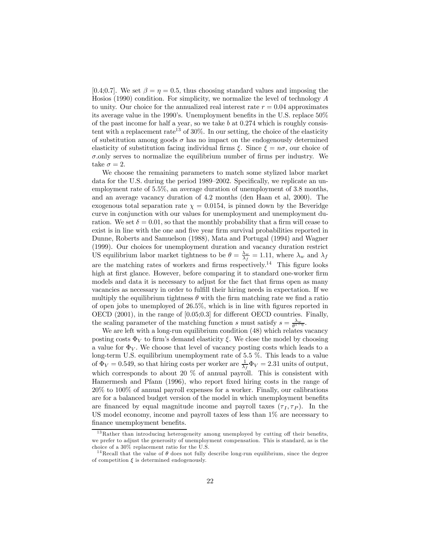[0.4;0.7]. We set  $\beta = \eta = 0.5$ , thus choosing standard values and imposing the Hosios (1990) condition. For simplicity, we normalize the level of technology A to unity. Our choice for the annualized real interest rate  $r = 0.04$  approximates its average value in the 1990's. Unemployment benefits in the U.S. replace 50% of the past income for half a year, so we take b at  $0.274$  which is roughly consistent with a replacement rate<sup>13</sup> of  $30\%$ . In our setting, the choice of the elasticity of substitution among goods  $\sigma$  has no impact on the endogenously determined elasticity of substitution facing individual firms  $\xi$ . Since  $\xi = n\sigma$ , our choice of  $\sigma$ .only serves to normalize the equilibrium number of firms per industry. We take  $\sigma = 2$ .

We choose the remaining parameters to match some stylized labor market data for the U.S. during the period 1989—2002. Specifically, we replicate an unemployment rate of 5.5%, an average duration of unemployment of 3.8 months, and an average vacancy duration of 4.2 months (den Haan et al, 2000). The exogenous total separation rate  $\chi = 0.0154$ , is pinned down by the Beveridge curve in conjunction with our values for unemployment and unemployment duration. We set  $\delta = 0.01$ , so that the monthly probability that a firm will cease to exist is in line with the one and five year firm survival probabilities reported in Dunne, Roberts and Samuelson (1988), Mata and Portugal (1994) and Wagner (1999). Our choices for unemployment duration and vacancy duration restrict US equilibrium labor market tightness to be  $\theta = \frac{\lambda_w}{\lambda_f} = 1.11$ , where  $\lambda_w$  and  $\lambda_f$ are the matching rates of workers and firms respectively.<sup>14</sup> This figure looks high at first glance. However, before comparing it to standard one-worker firm models and data it is necessary to adjust for the fact that firms open as many vacancies as necessary in order to fulfill their hiring needs in expectation. If we multiply the equilibrium tightness  $\theta$  with the firm matching rate we find a ratio of open jobs to unemployed of 26.5%, which is in line with figures reported in OECD (2001), in the range of [0.05;0.3] for different OECD countries. Finally, the scaling parameter of the matching function s must satisfy  $s = \frac{\lambda_w}{\theta^{1-\eta}}$ .

We are left with a long-run equilibrium condition  $(48)$  which relates vacancy posting costs  $\Phi_V$  to firm's demand elasticity  $\xi$ . We close the model by choosing a value for  $\Phi_V$ . We choose that level of vacancy posting costs which leads to a long-term U.S. equilibrium unemployment rate of 5.5 %. This leads to a value of  $\Phi_V = 0.549$ , so that hiring costs per worker are  $\frac{1}{\lambda_f} \Phi_V = 2.31$  units of output, which corresponds to about 20 % of annual payroll. This is consistent with Hamermesh and Pfann (1996), who report fixed hiring costs in the range of 20% to 100% of annual payroll expenses for a worker. Finally, our calibrations are for a balanced budget version of the model in which unemployment benefits are financed by equal magnitude income and payroll taxes  $(\tau_I, \tau_P)$ . In the US model economy, income and payroll taxes of less than 1% are necessary to finance unemployment benefits.

<sup>&</sup>lt;sup>13</sup>Rather than introducing heterogeneity among unemployed by cutting off their benefits, we prefer to adjust the generosity of unemployment compensation. This is standard, as is the choice of a 30% replacement ratio for the U.S.

 $14$ Recall that the value of  $\theta$  does not fully describe long-run equilibrium, since the degree of competition  $\xi$  is determined endogenously.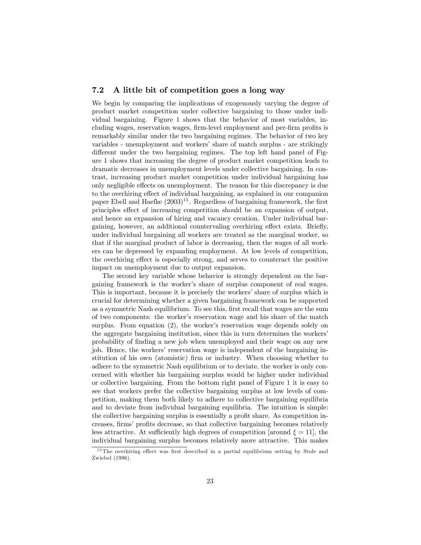### 7.2 A little bit of competition goes a long way

We begin by comparing the implications of exogenously varying the degree of product market competition under collective bargaining to those under individual bargaining. Figure 1 shows that the behavior of most variables, including wages, reservation wages, firm-level employment and per-firm profits is remarkably similar under the two bargaining regimes. The behavior of two key variables - unemployment and workers' share of match surplus - are strikingly different under the two bargaining regimes. The top left hand panel of Figure 1 shows that increasing the degree of product market competition leads to dramatic decreases in unemployment levels under collective bargaining. In contrast, increasing product market competition under individual bargaining has only negligible effects on unemployment. The reason for this discrepancy is due to the overhiring effect of individual bargaining, as explained in our companion paper Ebell and Haefke  $(2003)^{15}$ . Regardless of bargaining framework, the first principles effect of increasing competition should be an expansion of output, and hence an expansion of hiring and vacancy creation. Under individual bargaining, however, an additional countervaling overhiring effect exists. Briefly, under individual bargaining all workers are treated as the marginal worker, so that if the marginal product of labor is decreasing, then the wages of all workers can be depressed by expanding employment. At low levels of competition, the overhiring effect is especially strong, and serves to counteract the positive impact on unemployment due to output expansion.

The second key variable whose behavior is strongly dependent on the bargaining framework is the worker's share of surplus component of real wages. This is important, because it is precisely the workers' share of surplus which is crucial for determining whether a given bargaining framework can be supported as a symmetric Nash equilibrium. To see this, first recall that wages are the sum of two components: the worker's reservation wage and his share of the match surplus. From equation (2), the worker's reservation wage depends solely on the aggregate bargaining institution, since this in turn determines the workers' probability of finding a new job when unemployed and their wage on any new job. Hence, the workers' reservation wage is independent of the bargaining institution of his own (atomistic) firm or industry. When choosing whether to adhere to the symmetric Nash equilibrium or to deviate, the worker is only concerned with whether his bargaining surplus would be higher under individual or collective bargaining. From the bottom right panel of Figure 1 it is easy to see that workers prefer the collective bargaining surplus at low levels of competition, making them both likely to adhere to collective bargaining equilibria and to deviate from individual bargaining equilibria. The intuition is simple: the collective bargaining surplus is essentially a profit share. As competition increases, firms' profits decrease, so that collective bargaining becomes relatively less attractive. At sufficiently high degrees of competition [around  $\xi = 11$ ], the individual bargaining surplus becomes relatively more attractive. This makes

<sup>&</sup>lt;sup>15</sup>The overhiring effect was first described in a partial equilibrium setting by Stole and Zwiebel (1996).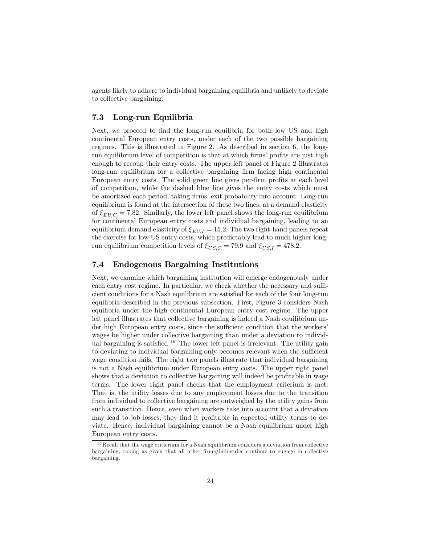agents likely to adhere to individual bargaining equilibria and unlikely to deviate to collective bargaining.

### 7.3 Long-run Equilibria

Next, we proceed to find the long-run equilibria for both low US and high continental European entry costs, under each of the two possible bargaining regimes. This is illustrated in Figure 2. As described in section 6, the longrun equilibrium level of competition is that at which firms' profits are just high enough to recoup their entry costs. The upper left panel of Figure 2 illustrates long-run equilibrium for a collective bargaining firm facing high continental European entry costs. The solid green line gives per-firm profits at each level of competition, while the dashed blue line gives the entry costs which must be amortized each period, taking firms' exit probability into account. Long-run equilibrium is found at the intersection of these two lines, at a demand elasticity of  $\xi_{ELLC} = 7.82$ . Similarly, the lower left panel shows the long-run equilibrium for continental European entry costs and individual bargaining, leading to an equilibrium demand elasticity of  $\xi_{EU,I} = 15.2$ . The two right-hand panels repeat the exercise for low US entry costs, which predictably lead to much higher longrun equilibrium competition levels of  $\xi_{US,C} = 79.9$  and  $\xi_{US,I} = 478.2$ .

### 7.4 Endogenous Bargaining Institutions

Next, we examine which bargaining institution will emerge endogenously under each entry cost regime. In particular, we check whether the necessary and sufficient conditions for a Nash equilibrium are satisfied for each of the four long-run equilibria described in the previous subsection. First, Figure 3 considers Nash equilibria under the high continental European entry cost regime. The upper left panel illustrates that collective bargaining is indeed a Nash equilibrium under high European entry costs, since the sufficient condition that the workers' wages be higher under collective bargaining than under a deviation to individual bargaining is satisfied.<sup>16</sup> The lower left panel is irrelevant: The utility gain to deviating to individual bargaining only becomes relevant when the sufficient wage condition fails. The right two panels illustrate that individual bargaining is not a Nash equilibrium under European entry costs. The upper right panel shows that a deviation to collective bargaining will indeed be profitable in wage terms. The lower right panel checks that the employment criterium is met: That is, the utility losses due to any employment losses due to the transition from individual to collective bargaining are outweighed by the utility gains from such a transition. Hence, even when workers take into account that a deviation may lead to job losses, they find it profitable in expected utility terms to deviate. Hence, individual bargaining cannot be a Nash equilibrium under high European entry costs.

 $16$  Recall that the wage critierium for a Nash equilibrium considers a deviation from collective bargaining, taking as given that all other firms/industries continue to engage in collective bargaining.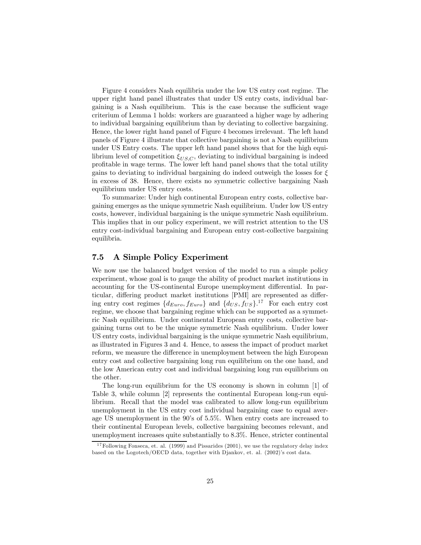Figure 4 considers Nash equilibria under the low US entry cost regime. The upper right hand panel illustrates that under US entry costs, individual bargaining is a Nash equilibrium. This is the case because the sufficient wage criterium of Lemma 1 holds: workers are guaranteed a higher wage by adhering to individual bargaining equilibrium than by deviating to collective bargaining. Hence, the lower right hand panel of Figure 4 becomes irrelevant. The left hand panels of Figure 4 illustrate that collective bargaining is not a Nash equilibrium under US Entry costs. The upper left hand panel shows that for the high equilibrium level of competition  $\xi_{US,C}$ , deviating to individual bargaining is indeed profitable in wage terms. The lower left hand panel shows that the total utility gains to deviating to individual bargaining do indeed outweigh the losses for  $\xi$ in excess of 38. Hence, there exists no symmetric collective bargaining Nash equilibrium under US entry costs.

To summarize: Under high continental European entry costs, collective bargaining emerges as the unique symmetric Nash equilibrium. Under low US entry costs, however, individual bargaining is the unique symmetric Nash equilibrium. This implies that in our policy experiment, we will restrict attention to the US entry cost-individual bargaining and European entry cost-collective bargaining equilibria.

### 7.5 A Simple Policy Experiment

We now use the balanced budget version of the model to run a simple policy experiment, whose goal is to gauge the ability of product market institutions in accounting for the US-continental Europe unemployment differential. In particular, differing product market institutions [PMI] are represented as differing entry cost regimes  $\{d_{Euro}, f_{Euro}\}$  and  $\{d_{US}, f_{US}\}$ <sup>17</sup> For each entry cost regime, we choose that bargaining regime which can be supported as a symmetric Nash equilibrium. Under continental European entry costs, collective bargaining turns out to be the unique symmetric Nash equilibrium. Under lower US entry costs, individual bargaining is the unique symmetric Nash equilibrium, as illustrated in Figures 3 and 4. Hence, to assess the impact of product market reform, we measure the difference in unemployment between the high European entry cost and collective bargaining long run equilibrium on the one hand, and the low American entry cost and individual bargaining long run equilibrium on the other.

The long-run equilibrium for the US economy is shown in column [1] of Table 3, while column [2] represents the continental European long-run equilibrium. Recall that the model was calibrated to allow long-run equilibrium unemployment in the US entry cost individual bargaining case to equal average US unemployment in the 90's of 5.5%. When entry costs are increased to their continental European levels, collective bargaining becomes relevant, and unemployment increases quite substantially to 8.3%. Hence, stricter continental

<sup>&</sup>lt;sup>17</sup> Following Fonseca, et. al. (1999) and Pissarides (2001), we use the regulatory delay index based on the Logotech/OECD data, together with Djankov, et. al. (2002)'s cost data.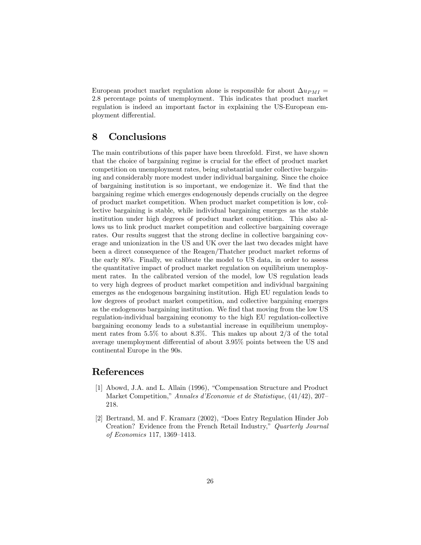European product market regulation alone is responsible for about  $\Delta u_{PMI}$  = 2.8 percentage points of unemployment. This indicates that product market regulation is indeed an important factor in explaining the US-European employment differential.

## 8 Conclusions

The main contributions of this paper have been threefold. First, we have shown that the choice of bargaining regime is crucial for the effect of product market competition on unemployment rates, being substantial under collective bargaining and considerably more modest under individual bargaining. Since the choice of bargaining institution is so important, we endogenize it. We find that the bargaining regime which emerges endogenously depends crucially on the degree of product market competition. When product market competition is low, collective bargaining is stable, while individual bargaining emerges as the stable institution under high degrees of product market competition. This also allows us to link product market competition and collective bargaining coverage rates. Our results suggest that the strong decline in collective bargaining coverage and unionization in the US and UK over the last two decades might have been a direct consequence of the Reagen/Thatcher product market reforms of the early 80's. Finally, we calibrate the model to US data, in order to assess the quantitative impact of product market regulation on equilibrium unemployment rates. In the calibrated version of the model, low US regulation leads to very high degrees of product market competition and individual bargaining emerges as the endogenous bargaining institution. High EU regulation leads to low degrees of product market competition, and collective bargaining emerges as the endogenous bargaining institution. We find that moving from the low US regulation-individual bargaining economy to the high EU regulation-collective bargaining economy leads to a substantial increase in equilibrium unemployment rates from 5.5% to about 8.3%. This makes up about 2/3 of the total average unemployment differential of about 3.95% points between the US and continental Europe in the 90s.

## References

- [1] Abowd, J.A. and L. Allain (1996), "Compensation Structure and Product Market Competition," Annales d'Economie et de Statistique, (41/42), 207— 218.
- [2] Bertrand, M. and F. Kramarz (2002), "Does Entry Regulation Hinder Job Creation? Evidence from the French Retail Industry," Quarterly Journal of Economics 117, 1369—1413.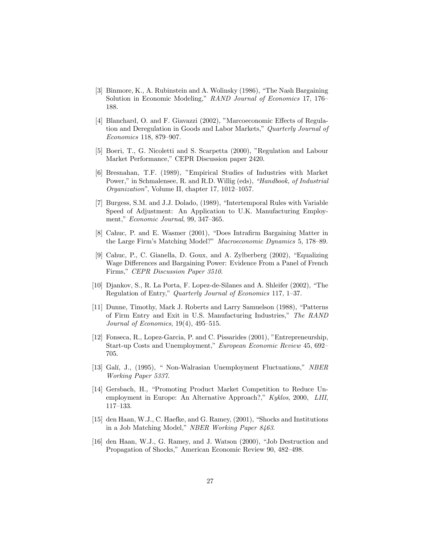- [3] Binmore, K., A. Rubinstein and A. Wolinsky (1986), "The Nash Bargaining Solution in Economic Modeling," RAND Journal of Economics 17, 176— 188.
- [4] Blanchard, O. and F. Giavazzi (2002), "Marcoeconomic Effects of Regulation and Deregulation in Goods and Labor Markets," Quarterly Journal of Economics 118, 879—907.
- [5] Boeri, T., G. Nicoletti and S. Scarpetta (2000), "Regulation and Labour Market Performance," CEPR Discussion paper 2420.
- [6] Bresnahan, T.F. (1989), "Empirical Studies of Industries with Market Power," in Schmalensee, R. and R.D. Willig (eds), "Handbook, of Industrial Organization", Volume II, chapter 17, 1012—1057.
- [7] Burgess, S.M. and J.J. Dolado, (1989), "Intertemporal Rules with Variable Speed of Adjustment: An Application to U.K. Manufacturing Employment," Economic Journal, 99, 347—365.
- [8] Cahuc, P. and E. Wasmer (2001), "Does Intrafirm Bargaining Matter in the Large Firm's Matching Model?" Macroeconomic Dynamics 5, 178—89.
- [9] Cahuc, P., C. Gianella, D. Goux, and A. Zylberberg (2002), "Equalizing Wage Differences and Bargaining Power: Evidence From a Panel of French Firms," CEPR Discussion Paper 3510.
- [10] Djankov, S., R. La Porta, F. Lopez-de-Silanes and A. Shleifer (2002), "The Regulation of Entry," Quarterly Journal of Economics 117, 1—37.
- [11] Dunne, Timothy, Mark J. Roberts and Larry Samuelson (1988), "Patterns of Firm Entry and Exit in U.S. Manufacturing Industries," The RAND Journal of Economics, 19(4), 495—515.
- [12] Fonseca, R., Lopez-Garcia, P. and C. Pissarides (2001), "Entrepreneurship, Start-up Costs and Unemployment," European Economic Review 45, 692— 705.
- [13] Galí, J., (1995), " Non-Walrasian Unemployment Fluctuations," NBER Working Paper 5337.
- [14] Gersbach, H., "Promoting Product Market Competition to Reduce Unemployment in Europe: An Alternative Approach?," Kyklos, 2000, LIII, 117—133.
- [15] den Haan, W.J., C. Haefke, and G. Ramey, (2001), "Shocks and Institutions in a Job Matching Model," NBER Working Paper 8463.
- [16] den Haan, W.J., G. Ramey, and J. Watson (2000), "Job Destruction and Propagation of Shocks," American Economic Review 90, 482—498.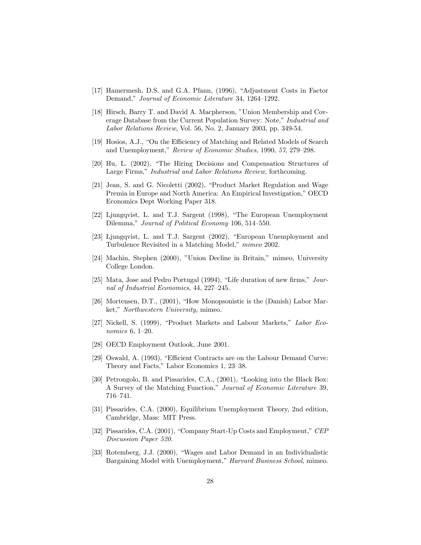- [17] Hamermesh, D.S. and G.A. Pfann, (1996), "Adjustment Costs in Factor Demand," Journal of Economic Literature 34, 1264—1292.
- [18] Hirsch, Barry T. and David A. Macpherson, "Union Membership and Coverage Database from the Current Population Survey: Note," Industrial and Labor Relations Review, Vol. 56, No. 2, January 2003, pp. 349-54.
- [19] Hosios, A.J., "On the Efficiency of Matching and Related Models of Search and Unemployment," Review of Economic Studies, 1990, 57, 279—298.
- [20] Hu, L. (2002), "The Hiring Decisions and Compensation Structures of Large Firms," Industrial and Labor Relations Review, forthcoming.
- [21] Jean, S. and G. Nicoletti (2002), "Product Market Regulation and Wage Premia in Europe and North America: An Empirical Investigation," OECD Economics Dept Working Paper 318.
- [22] Ljungqvist, L. and T.J. Sargent (1998), "The European Unemployment Dilemma," Journal of Political Economy 106, 514—550.
- [23] Ljungqvist, L. and T.J. Sargent (2002), "European Unemployment and Turbulence Revisited in a Matching Model," mimeo 2002.
- [24] Machin, Stephen (2000), "Union Decline in Britain," mimeo, University College London.
- [25] Mata, Jose and Pedro Portugal (1994), "Life duration of new firms," Journal of Industrial Economics, 44, 227—245.
- [26] Mortensen, D.T., (2001), "How Monopsonistic is the (Danish) Labor Market," Northwestern University, mimeo.
- [27] Nickell, S. (1999), "Product Markets and Labour Markets," Labor Economics 6, 1—20.
- [28] OECD Employment Outlook, June 2001.
- [29] Oswald, A. (1993), "Efficient Contracts are on the Labour Demand Curve: Theory and Facts," Labor Economics 1, 23—38.
- [30] Petrongolo, B. and Pissarides, C.A., (2001), "Looking into the Black Box: A Survey of the Matching Function," Journal of Economic Literature 39, 716—741.
- [31] Pissarides, C.A. (2000), Equilibrium Unemployment Theory, 2nd edition, Cambridge, Mass: MIT Press.
- [32] Pissarides, C.A. (2001), "Company Start-Up Costs and Employment," CEP Discussion Paper 520.
- [33] Rotemberg, J.J. (2000), "Wages and Labor Demand in an Individualistic Bargaining Model with Unemployment," Harvard Business School, mimeo.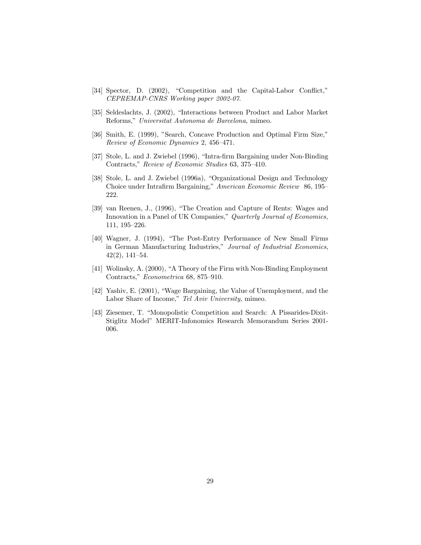- [34] Spector, D. (2002), "Competition and the Capital-Labor Conflict," CEPREMAP-CNRS Working paper 2002-07.
- [35] Seldeslachts, J. (2002), "Interactions between Product and Labor Market Reforms," Universitat Autonoma de Barcelona, mimeo.
- [36] Smith, E. (1999), "Search, Concave Production and Optimal Firm Size," Review of Economic Dynamics 2, 456—471.
- [37] Stole, L. and J. Zwiebel (1996), "Intra-firm Bargaining under Non-Binding Contracts," Review of Economic Studies 63, 375—410.
- [38] Stole, L. and J. Zwiebel (1996a), "Organizational Design and Technology Choice under Intrafirm Bargaining," American Economic Review 86, 195— 222.
- [39] van Reenen, J., (1996), "The Creation and Capture of Rents: Wages and Innovation in a Panel of UK Companies," Quarterly Journal of Economics, 111, 195—226.
- [40] Wagner, J. (1994), "The Post-Entry Performance of New Small Firms in German Manufacturing Industries," Journal of Industrial Economics, 42(2), 141—54.
- [41] Wolinsky, A. (2000), "A Theory of the Firm with Non-Binding Employment Contracts," Econometrica 68, 875—910.
- [42] Yashiv, E. (2001), "Wage Bargaining, the Value of Unemployment, and the Labor Share of Income," Tel Aviv University, mimeo.
- [43] Ziesemer, T. "Monopolistic Competition and Search: A Pissarides-Dixit-Stiglitz Model" MERIT-Infonomics Research Memorandum Series 2001- 006.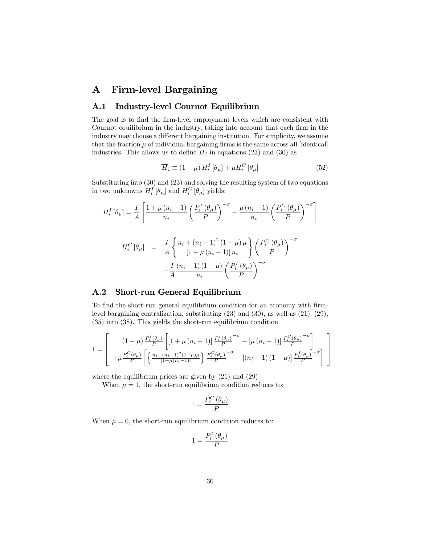## A Firm-level Bargaining

### A.1 Industry-level Cournot Equilibrium

The goal is to find the firm-level employment levels which are consistent with Cournot equilibrium in the industry, taking into account that each firm in the industry may choose a different bargaining institution. For simplicity, we assume that the fraction  $\mu$  of individual bargaining firms is the same across all [identical] industries. This allows us to define  $\overline{H}_i$  in equations (23) and (30) as

$$
\overline{H}_i \equiv (1 - \mu) H_i^I [\theta_\mu] + \mu H_i^C [\theta_\mu]
$$
\n(52)

Substituting into (30) and (23) and solving the resulting system of two equations in two unknowns  $H_i^I[\theta_\mu]$  and  $H_i^C[\theta_\mu]$  yields:

$$
H_i^I[\theta_\mu] = \frac{I}{A} \left[ \frac{1 + \mu (n_i - 1)}{n_i} \left( \frac{P_i^I(\theta_\mu)}{P} \right)^{-\sigma} - \frac{\mu (n_i - 1)}{n_i} \left( \frac{P_i^C(\theta_\mu)}{P} \right)^{-\sigma} \right]
$$

$$
H_i^C[\theta_\mu] = \frac{I}{A} \left\{ \frac{n_i + (n_i - 1)^2 (1 - \mu)\mu}{[1 + \mu (n_i - 1)]n_i} \right\} \left( \frac{P_i^C(\theta_\mu)}{P} \right)^{-\sigma}
$$

$$
- \frac{I}{A} \frac{(n_i - 1)(1 - \mu)}{n_i} \left( \frac{P_i^I(\theta_\mu)}{P} \right)^{-\sigma}
$$

### A.2 Short-run General Equilibrium

To find the short-run general equilibrium condition for an economy with firmlevel bargaining centralization, substituting (23) and (30), as well as (21), (29), (35) into (38). This yields the short-run equilibrium condition

$$
1 = \left[\begin{array}{c} (1-\mu)\frac{P_i^I(\theta_\mu)}{P} \left[ \left[1+\mu\left(n_i-1\right)\right] \frac{P_i^I(\theta_\mu)}{P} - \left[\mu\left(n_i-1\right)\right] \frac{P_i^C(\theta_\mu)}{P} \right] \\ + \mu\frac{P_i^C(\theta_\mu)}{P} \left[ \left\{ \frac{n_i + (n_i-1)^2(1-\mu)\mu}{\left[1+\mu\left(n_i-1\right)\right]} \right\} \frac{P_i^C(\theta_\mu)}{P} - \left[(n_i-1)\left(1-\mu\right)\right] \frac{P_i^I(\theta_\mu)}{P} \right] \end{array}\right]
$$

where the equilibrium prices are given by  $(21)$  and  $(29)$ .

When  $\mu = 1$ , the short-run equilibrium condition reduces to:

$$
1=\frac{P_{i}^{C}\left( \theta _{\mu }\right) }{P}
$$

When  $\mu = 0$ , the short-run equilibrium condition reduces to:

$$
1=\frac{P_{i}^{I}\left( \theta _{\mu }\right) }{P}
$$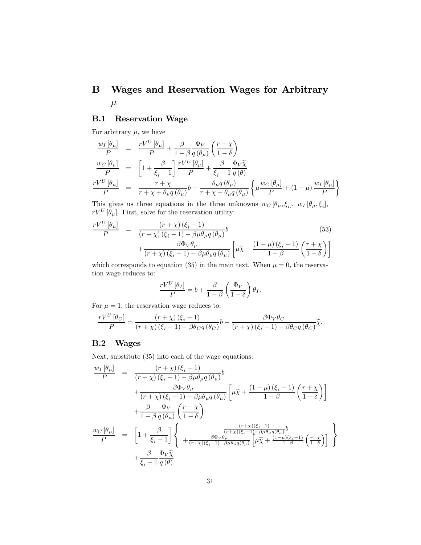## B Wages and Reservation Wages for Arbitrary  $\mu$

### B.1 Reservation Wage

For arbitrary  $\mu$ , we have

$$
\frac{w_I[\theta_\mu]}{P} = \frac{rV^U[\theta_\mu]}{P} + \frac{\beta}{1-\beta} \frac{\Phi_V}{q(\theta_\mu)} \left(\frac{r+\chi}{1-\delta}\right)
$$
\n
$$
\frac{w_C[\theta_\mu]}{P} = \left[1 + \frac{\beta}{\xi_i - 1}\right] \frac{rV^U[\theta_\mu]}{P} + \frac{\beta}{\xi_i - 1} \frac{\Phi_V \tilde{\chi}}{q(\theta)}
$$
\n
$$
\frac{rV^U[\theta_\mu]}{P} = \frac{r+\chi}{r+\chi + \theta_\mu q(\theta_\mu)} b + \frac{\theta_\mu q(\theta_\mu)}{r+\chi + \theta_\mu q(\theta_\mu)} \left\{\mu \frac{w_C[\theta_\mu]}{P} + (1-\mu) \frac{w_I[\theta_\mu]}{P}\right\}
$$

This gives us three equations in the three unknowns  $w_C$  [ $\theta_\mu, \xi_i$ ],  $w_I$  [ $\theta_\mu, \xi_i$ ],  $rV^U\left[\theta_\mu\right]$ . First, solve for the reservation utility:

$$
\frac{rV^{U}[\theta_{\mu}]}{P} = \frac{(r+\chi)(\xi_{i}-1)}{(r+\chi)(\xi_{i}-1)-\beta\mu\theta_{\mu}q(\theta_{\mu})}b + \frac{\beta\Phi_{V}\theta_{\mu}}{(r+\chi)(\xi_{i}-1)-\beta\mu\theta_{\mu}q(\theta_{\mu})}\left[\mu\tilde{\chi}+\frac{(1-\mu)(\xi_{i}-1)}{1-\beta}\left(\frac{r+\chi}{1-\delta}\right)\right]
$$
\n(53)

which corresponds to equation (35) in the main text. When  $\mu = 0$ , the reservation wage reduces to:

$$
\frac{rV^U[\theta_I]}{P} = b + \frac{\beta}{1-\beta} \left(\frac{\Phi_V}{1-\delta}\right) \theta_I.
$$

For  $\mu = 1$ , the reservation wage reduces to:

$$
\frac{rV^U\left[\theta_C\right]}{P} = \frac{\left(r+\chi\right)\left(\xi_i-1\right)}{\left(r+\chi\right)\left(\xi_i-1\right) - \beta\theta_C q\left(\theta_C\right)}b + \frac{\beta\Phi_V\theta_C}{\left(r+\chi\right)\left(\xi_i-1\right) - \beta\theta_C q\left(\theta_C\right)}\widetilde{\chi}.
$$

### B.2 Wages

Next, substitute (35) into each of the wage equations:

$$
\frac{w_I[\theta_\mu]}{P} = \frac{(r+\chi)(\xi_i - 1)}{(r+\chi)(\xi_i - 1) - \beta \mu \theta_\mu q(\theta_\mu)} b \n+ \frac{\beta \Phi_V \theta_\mu}{(r+\chi)(\xi_i - 1) - \beta \mu \theta_\mu q(\theta_\mu)} \left[ \mu \tilde{\chi} + \frac{(1-\mu)(\xi_i - 1)}{1-\beta} \left( \frac{r+\chi}{1-\delta} \right) \right] \n+ \frac{\beta}{1-\beta} \frac{\Phi_V}{q(\theta_\mu)} \left( \frac{r+\chi}{1-\delta} \right) \n+ \frac{\beta}{1-\beta} \frac{\Phi_V}{q(\theta_\mu)} \left( \frac{r+\chi}{1-\delta} \right) \n+ \frac{\beta}{\xi_i - 1} \left[ \left( \frac{\frac{(r+\chi)(\xi_i - 1)}{(r+\chi)(\xi_i - 1) - \beta \mu \theta_\mu q(\theta_\mu)}}{\frac{\beta \Phi_V \theta_\mu}{1-\beta}} \left[ \mu \tilde{\chi} + \frac{(1-\mu)(\xi_i - 1)}{1-\beta} \left( \frac{r+\chi}{1-\delta} \right) \right] \right] \n+ \frac{\beta}{\xi_i - 1} \frac{\Phi_V \tilde{\chi}}{q(\theta)}
$$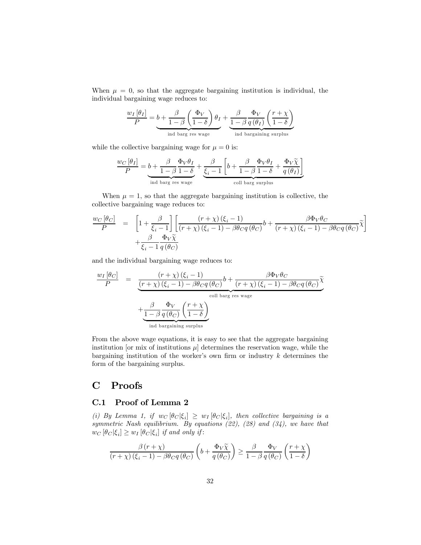When  $\mu = 0$ , so that the aggregate bargaining institution is individual, the individual bargaining wage reduces to:

$$
\frac{w_I \left[\theta_I\right]}{P} = b + \frac{\beta}{1-\beta} \left(\frac{\Phi_V}{1-\delta}\right) \theta_I + \underbrace{\frac{\beta}{1-\beta} \frac{\Phi_V}{q(\theta_I)} \left(\frac{r+\chi}{1-\delta}\right)}_{\text{ind barg using surplus}}
$$

while the collective bargaining wage for  $\mu = 0$  is:

$$
\frac{w_C \left[\theta_I\right]}{P} = \underbrace{b + \frac{\beta}{1-\beta} \frac{\Phi_V \theta_I}{1-\delta}}_{\text{ind barg res wage}} + \underbrace{\frac{\beta}{\xi_i - 1} \left[b + \frac{\beta}{1-\beta} \frac{\Phi_V \theta_I}{1-\delta} + \frac{\Phi_V \tilde{\chi}}{q\left(\theta_I\right)}\right]}_{\text{coll barg surplus}}
$$

When  $\mu = 1$ , so that the aggregate bargaining institution is collective, the collective bargaining wage reduces to:

$$
\frac{w_C [\theta_C]}{P} = \left[1 + \frac{\beta}{\xi_i - 1}\right] \left[ \frac{(r + \chi)(\xi_i - 1)}{(r + \chi)(\xi_i - 1) - \beta \theta_C q(\theta_C)} b + \frac{\beta \Phi_V \theta_C}{(r + \chi)(\xi_i - 1) - \beta \theta_C q(\theta_C)} \tilde{\chi} \right] + \frac{\beta}{\xi_i - 1} \frac{\Phi_V \tilde{\chi}}{q(\theta_C)}
$$

and the individual bargaining wage reduces to:

$$
\frac{w_I \left[\theta_C\right]}{P} = \frac{\left(r + \chi\right)\left(\xi_i - 1\right)}{\underbrace{\left(r + \chi\right)\left(\xi_i - 1\right) - \beta \theta_C q \left(\theta_C\right)}_{\text{coll barg res wage}} b + \frac{\beta \Phi_V \theta_C}{\underbrace{\left(r + \chi\right)\left(\xi_i - 1\right) - \beta \theta_C q \left(\theta_C\right)}_{\text{coll barg res wage}} \tilde{\chi}^2}}_{\text{ind bargaining surplus}}
$$

From the above wage equations, it is easy to see that the aggregate bargaining institution [or mix of institutions  $\mu$ ] determines the reservation wage, while the bargaining institution of the worker's own firm or industry  $k$  determines the form of the bargaining surplus.

## C Proofs

### C.1 Proof of Lemma 2

(i) By Lemma 1, if  $w_C [\theta_C | \xi_i] \geq w_I [\theta_C | \xi_i]$ , then collective bargaining is a symmetric Nash equilibrium. By equations  $(22)$ ,  $(28)$  and  $(34)$ , we have that  $w_C [\theta_C |\xi_i] \geq w_I [\theta_C |\xi_i]$  if and only if:

$$
\frac{\beta(r+\chi)}{(r+\chi)\left(\xi_i-1\right)-\beta\theta_{C}q\left(\theta_{C}\right)}\left(b+\frac{\Phi_{V}\widetilde{\chi}}{q\left(\theta_{C}\right)}\right)\geq\frac{\beta}{1-\beta}\frac{\Phi_{V}}{q\left(\theta_{C}\right)}\left(\frac{r+\chi}{1-\delta}\right)
$$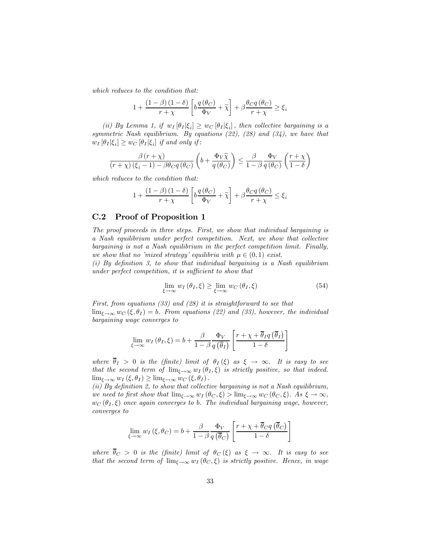which reduces to the condition that:

$$
1 + \frac{(1 - \beta)(1 - \delta)}{r + \chi} \left[ b \frac{q(\theta_C)}{\Phi_V} + \widetilde{\chi} \right] + \beta \frac{\theta_C q(\theta_C)}{r + \chi} \ge \xi_i
$$

(ii) By Lemma 1, if  $w_I [\theta_I | \xi_i] \geq w_C [\theta_I | \xi_i]$ , then collective bargaining is a symmetric Nash equilibrium. By equations (22), (28) and (34), we have that  $w_I \left[ \theta_I \middle| \xi_i \right] \geq w_C \left[ \theta_I \middle| \xi_i \right]$  if and only if:

$$
\frac{\beta(r+\chi)}{(r+\chi)\left(\xi_i-1\right)-\beta\theta_{C}q\left(\theta_{C}\right)}\left(b+\frac{\Phi_{V}\widetilde{\chi}}{q\left(\theta_{C}\right)}\right)\leq\frac{\beta}{1-\beta}\frac{\Phi_{V}}{q\left(\theta_{C}\right)}\left(\frac{r+\chi}{1-\delta}\right)
$$

which reduces to the condition that:

$$
1 + \frac{\left(1 - \beta\right)\left(1 - \delta\right)}{r + \chi} \left[b\frac{q\left(\theta_{C}\right)}{\Phi_{V}} + \widetilde{\chi}\right] + \beta \frac{\theta_{C}q\left(\theta_{C}\right)}{r + \chi} \leq \xi_{i}
$$

### C.2 Proof of Proposition 1

The proof proceeds in three steps. First, we show that individual bargaining is a Nash equilibrium under perfect competition. Next, we show that collective bargaining is not a Nash equilibrium in the perfect competition limit. Finally, we show that no 'mixed strategy' equilibria with  $\mu \in (0,1)$  exist.

(i) By definition 3, to show that individual bargaining is a Nash equilibrium under perfect competition, it is sufficient to show that

$$
\lim_{\xi \to \infty} w_I(\theta_I, \xi) \ge \lim_{\xi \to \infty} w_C(\theta_I, \xi)
$$
\n(54)

First, from equations  $(33)$  and  $(28)$  it is straightforward to see that  $\lim_{\xi \to \infty} w_C(\xi, \theta_I) = b$ . From equations (22) and (33), however, the individual bargaining wage converges to

$$
\lim_{\xi \to \infty} w_I(\theta_I, \xi) = b + \frac{\beta}{1 - \beta} \frac{\Phi_V}{q(\overline{\theta}_I)} \left[ \frac{r + \chi + \overline{\theta}_I q(\overline{\theta}_I)}{1 - \delta} \right]
$$

where  $\overline{\theta}_I > 0$  is the (finite) limit of  $\theta_I(\xi)$  as  $\xi \to \infty$ . It is easy to see that the second term of  $\lim_{\xi \to \infty} w_I(\theta_I, \xi)$  is strictly positive, so that indeed.  $\lim_{\xi \to \infty} w_I(\xi, \theta_I) \geq \lim_{\xi \to \infty} w_C(\xi, \theta_I).$ 

(ii) By definition 2, to show that collective bargaining is not a Nash equilibrium, we need to first show that  $\lim_{\xi \to \infty} w_I(\theta_C, \xi) > \lim_{\xi \to \infty} w_C(\theta_C, \xi)$ . As  $\xi \to \infty$ ,  $w_C(\theta_I, \xi)$  once again converges to b. The individual bargaining wage, however, converges to

$$
\lim_{\xi \to \infty} w_I(\xi, \theta_C) = b + \frac{\beta}{1 - \beta} \frac{\Phi_V}{q(\overline{\theta}_C)} \left[ \frac{r + \chi + \overline{\theta}_C q(\overline{\theta}_C)}{1 - \delta} \right]
$$

where  $\overline{\theta}_C > 0$  is the (finite) limit of  $\theta_C(\xi)$  as  $\xi \to \infty$ . It is easy to see that the second term of  $\lim_{\xi \to \infty} w_I(\theta_C, \xi)$  is strictly positive. Hence, in wage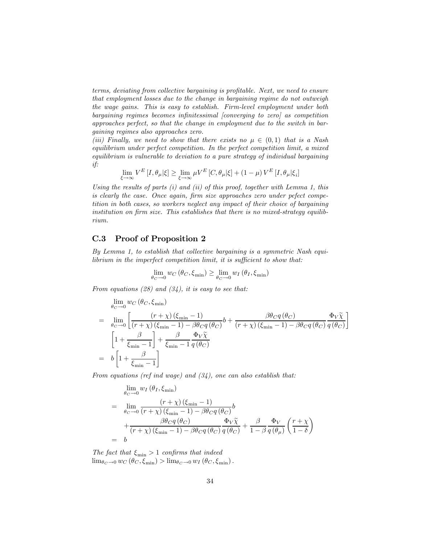terms, deviating from collective bargaining is profitable. Next, we need to ensure that employment losses due to the change in bargaining regime do not outweigh the wage gains. This is easy to establish. Firm-level employment under both bargaining regimes becomes infinitessimal [converging to zero] as competition approaches perfect, so that the change in employment due to the switch in bargaining regimes also approaches zero.

(iii) Finally, we need to show that there exists no  $\mu \in (0,1)$  that is a Nash equilibrium under perfect competition. In the perfect competition limit, a mixed equilibrium is vulnerable to deviation to a pure strategy of individual bargaining if:

$$
\lim_{\xi \to \infty} V^{E} \left[ I, \theta_{\mu} | \xi \right] \ge \lim_{\xi \to \infty} \mu V^{E} \left[ C, \theta_{\mu} | \xi \right] + \left( 1 - \mu \right) V^{E} \left[ I, \theta_{\mu} | \xi_{i} \right]
$$

Using the results of parts  $(i)$  and  $(ii)$  of this proof, together with Lemma 1, this is clearly the case. Once again, firm size approaches zero under pefect competition in both cases, so workers neglect any impact of their choice of bargaining institution on firm size. This establishes that there is no mixed-strategy equilibrium.

### C.3 Proof of Proposition 2

By Lemma 1, to establish that collective bargaining is a symmetric Nash equilibrium in the imperfect competition limit, it is sufficient to show that:

$$
\lim_{\theta_C \to 0} w_C(\theta_C, \xi_{\min}) \ge \lim_{\theta_C \to 0} w_I(\theta_I, \xi_{\min})
$$

From equations (28) and (34), it is easy to see that:

$$
\lim_{\theta_C \to 0} w_C (\theta_C, \xi_{\min})
$$
\n
$$
= \lim_{\theta_C \to 0} \left[ \frac{(r + \chi)(\xi_{\min} - 1)}{(r + \chi)(\xi_{\min} - 1) - \beta \theta_C q(\theta_C)} b + \frac{\beta \theta_C q(\theta_C)}{(r + \chi)(\xi_{\min} - 1) - \beta \theta_C q(\theta_C)} \frac{\Phi_V \tilde{\chi}}{q(\theta_C)} \right]
$$
\n
$$
\left[ 1 + \frac{\beta}{\xi_{\min} - 1} \right] + \frac{\beta}{\xi_{\min} - 1} \frac{\Phi_V \tilde{\chi}}{q(\theta_C)}
$$
\n
$$
= b \left[ 1 + \frac{\beta}{\xi_{\min} - 1} \right]
$$

From equations (ref ind wage) and  $(34)$ , one can also establish that:

$$
\lim_{\theta_C \to 0} w_I(\theta_I, \xi_{\min})
$$
\n
$$
= \lim_{\theta_C \to 0} \frac{(r + \chi)(\xi_{\min} - 1)}{(r + \chi)(\xi_{\min} - 1) - \beta \theta_C q(\theta_C)} b
$$
\n
$$
+ \frac{\beta \theta_C q(\theta_C)}{(r + \chi)(\xi_{\min} - 1) - \beta \theta_C q(\theta_C)} \frac{\Phi_V \tilde{\chi}}{q(\theta_C)} + \frac{\beta}{1 - \beta} \frac{\Phi_V}{q(\theta_\mu)} \left(\frac{r + \chi}{1 - \delta}\right)
$$
\n
$$
= b
$$

The fact that  $\xi_{\min} > 1$  confirms that indeed  $\lim_{\theta_C \to 0} w_C (\theta_C, \xi_{\min}) > \lim_{\theta_C \to 0} w_I (\theta_C, \xi_{\min}).$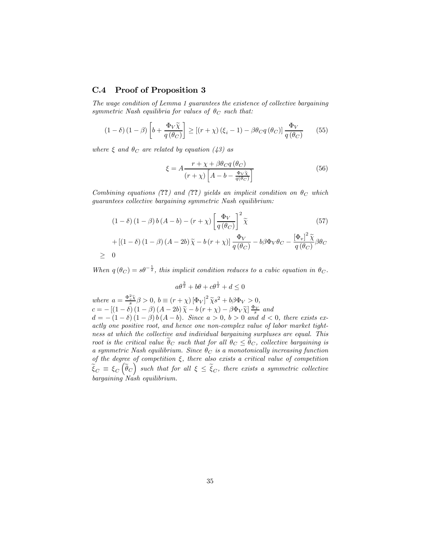### C.4 Proof of Proposition 3

The wage condition of Lemma 1 guarantees the existence of collective bargaining symmetric Nash equilibria for values of  $\theta_C$  such that:

$$
(1 - \delta) (1 - \beta) \left[ b + \frac{\Phi_V \tilde{\chi}}{q(\theta_C)} \right] \ge \left[ (r + \chi) (\xi_i - 1) - \beta \theta_C q(\theta_C) \right] \frac{\Phi_V}{q(\theta_C)} \tag{55}
$$

where  $\xi$  and  $\theta_C$  are related by equation (43) as

$$
\xi = A \frac{r + \chi + \beta \theta_{C} q \left(\theta_{C}\right)}{\left(r + \chi\right) \left[A - b - \frac{\Phi_{V} \tilde{\chi}}{q \left(\theta_{C}\right)}\right]}
$$
\n
$$
\tag{56}
$$

Combining equations (??) and (??) yields an implicit condition on  $\theta_C$  which guarantees collective bargaining symmetric Nash equilibrium:

$$
(1 - \delta) (1 - \beta) b (A - b) - (r + \chi) \left[ \frac{\Phi_V}{q(\theta_C)} \right]^2 \tilde{\chi}
$$
(57)  
+ 
$$
[ (1 - \delta) (1 - \beta) (A - 2b) \tilde{\chi} - b (r + \chi) ] \frac{\Phi_V}{q(\theta_C)} - b\beta \Phi_V \theta_C - \frac{[\Phi_v]^2 \tilde{\chi}}{q(\theta_C)} \beta \theta_C
$$

$$
\geq 0
$$

When  $q(\theta_C) = s\theta^{-\frac{1}{2}}$ , this implicit condition reduces to a cubic equation in  $\theta_C$ .

$$
a\theta^{\frac{3}{2}} + b\theta + c\theta^{\frac{1}{2}} + d \le 0
$$

where  $a = \frac{\Phi_x^2 \tilde{\chi}}{s} \beta > 0$ ,  $b \equiv (r + \chi) [\Phi_V]^2 \tilde{\chi} s^2 + b \beta \Phi_V > 0$ ,  $c = -[(1 - \delta) (1 - \beta) (A - 2b) \tilde{\chi} - b (r + \chi) - \beta \Phi_V \tilde{\chi}] \frac{\Phi_V}{s}$  and  $d = -(1 - \delta) (1 - \beta) b (A - b)$ . Since  $a > 0$ ,  $b > 0$  and  $d < 0$ , there exists exactly one positive root, and hence one non-complex value of labor market tightness at which the collective and individual bargaining surpluses are equal. This root is the critical value  $\hat{\theta}_C$  such that for all  $\theta_C \leq \hat{\theta}_C$ , collective bargaining is a symmetric Nash equilibrium. Since  $\theta_C$  is a monotonically increasing function of the degree of competition  $\xi$ , there also exists a critical value of competition  $\widetilde{\xi}_C \equiv \xi_C(\widetilde{\theta}_C)$  such that for all  $\xi \leq \widetilde{\xi}_C$ , there exists a symmetric collective bargaining Nash equilibrium.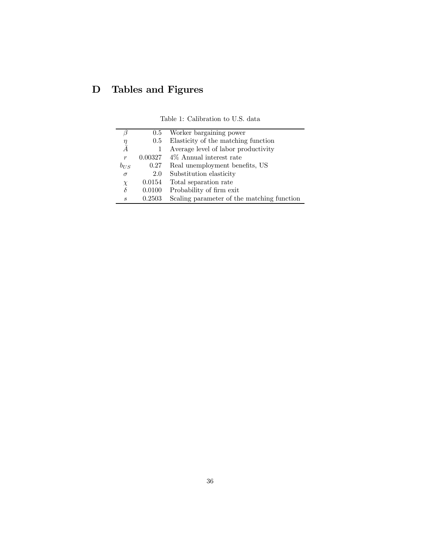# D Tables and Figures

|                             |         | 0.5 Worker bargaining power                |
|-----------------------------|---------|--------------------------------------------|
|                             | 0.5     | Elasticity of the matching function        |
| $\frac{\eta}{\bar{A}}$      |         | Average level of labor productivity        |
| r                           | 0.00327 | 4\% Annual interest rate                   |
| $b_{US}$                    | 0.27    | Real unemployment benefits, US             |
| $\sigma$                    | 2.0     | Substitution elasticity                    |
| $\chi$                      | 0.0154  | Total separation rate                      |
| δ                           | 0.0100  | Probability of firm exit.                  |
| $\mathcal{S}_{\mathcal{S}}$ | 0.2503  | Scaling parameter of the matching function |

Table 1: Calibration to U.S. data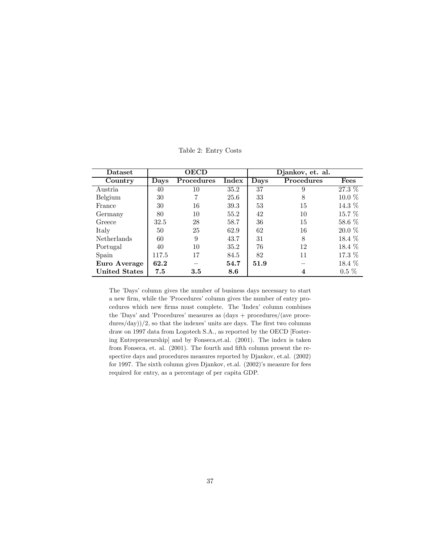| Dataset              | <b>OECD</b> |            |       | Djankov, et. al. |            |           |
|----------------------|-------------|------------|-------|------------------|------------|-----------|
| Country              | Days        | Procedures | Index | Davs             | Procedures | Fees      |
| Austria              | 40          | 10         | 35.2  | 37               | 9          | $27.3\%$  |
| Belgium              | 30          | 7          | 25.6  | 33               | 8          | $10.0\%$  |
| France               | 30          | 16         | 39.3  | 53               | 15         | 14.3 %    |
| Germany              | 80          | 10         | 55.2  | 42               | 10         | 15.7 %    |
| Greece               | 32.5        | 28         | 58.7  | 36               | 15         | $58.6\%$  |
| Italy                | 50          | 25         | 62.9  | 62               | 16         | $20.0 \%$ |
| <b>Netherlands</b>   | 60          | 9          | 43.7  | 31               | 8          | $18.4\%$  |
| Portugal             | 40          | 10         | 35.2  | 76               | 12         | 18.4 %    |
| Spain                | 117.5       | 17         | 84.5  | 82               | 11         | 17.3 %    |
| Euro Average         | 62.2        |            | 54.7  | 51.9             |            | 18.4 %    |
| <b>United States</b> | 7.5         | 3.5        | 8.6   |                  | 4          | $0.5\%$   |

Table 2: Entry Costs

The 'Days' column gives the number of business days necessary to start a new firm, while the 'Procedures' column gives the number of entry procedures which new firms must complete. The 'Index' column combines the 'Days' and 'Procedures' measures as (days + procedures/(ave proce $dures/day)/(2$ , so that the indexes' units are days. The first two columns draw on 1997 data from Logotech S.A., as reported by the OECD [Fostering Entrepreneurship] and by Fonseca,et.al. (2001). The index is taken from Fonseca, et. al. (2001). The fourth and fifth column present the respective days and procedures measures reported by Djankov, et.al. (2002) for 1997. The sixth column gives Djankov, et.al. (2002)'s measure for fees required for entry, as a percentage of per capita GDP.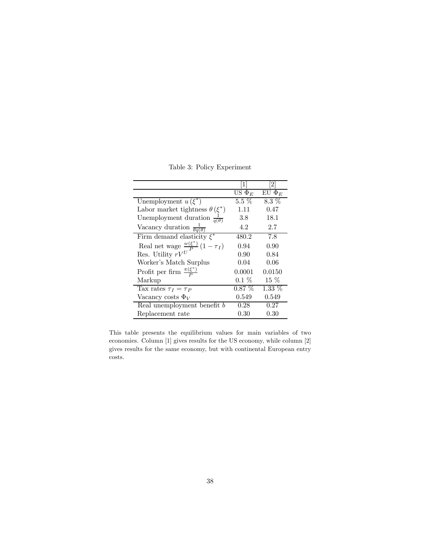Table 3: Policy Experiment

|                                                 | $\lceil 1 \rceil$  | [2]         |
|-------------------------------------------------|--------------------|-------------|
|                                                 | US $\Phi_E$        | EU $\Phi_E$ |
| Unemployment $u(\xi^*)$                         | $5.\overline{5\%}$ | $8.3\%$     |
| Labor market tightness $\theta(\xi^*)$          | 1.11               | 0.47        |
| Unemployment duration $\frac{1}{q(\theta)}$     | 3.8                | 18.1        |
| Vacancy duration $\frac{1}{\theta q(\theta)}$   | 4.2                | 2.7         |
| Firm demand elasticity $\xi^*$                  | 480.2              | 7.8         |
| Real net wage $\frac{w(\xi^*)}{I} (1 - \tau_I)$ | 0.94               | 0.90        |
| Res. Utility $\stackrel{\smile}{r}V^U$          | 0.90               | 0.84        |
| Worker's Match Surplus                          | 0.04               | 0.06        |
| Profit per firm $\frac{\pi(\xi^*)}{P}$          | 0.0001             | 0.0150      |
| Markup                                          | $0.1\%$            | $15\%$      |
| Tax rates $\tau_I = \tau_P$                     | $0.87\%$           | $1.33\%$    |
| Vacancy costs $\Phi_V$                          | 0.549              | 0.549       |
| Real unemployment benefit b                     | 0.28               | 0.27        |
| Replacement rate                                | $0.30\,$           | 0.30        |

This table presents the equilibrium values for main variables of two economies. Column [1] gives results for the US economy, while column [2] gives results for the same economy, but with continental European entry costs.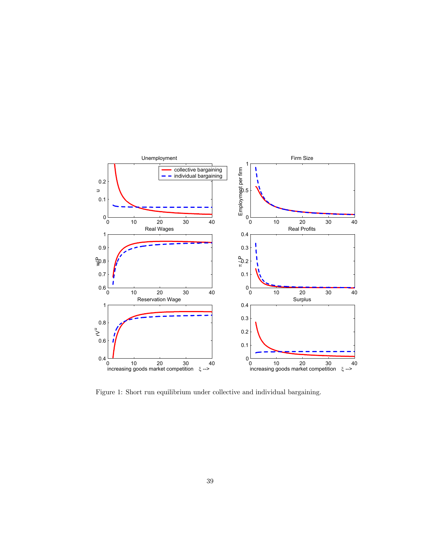

Figure 1: Short run equilibrium under collective and individual bargaining.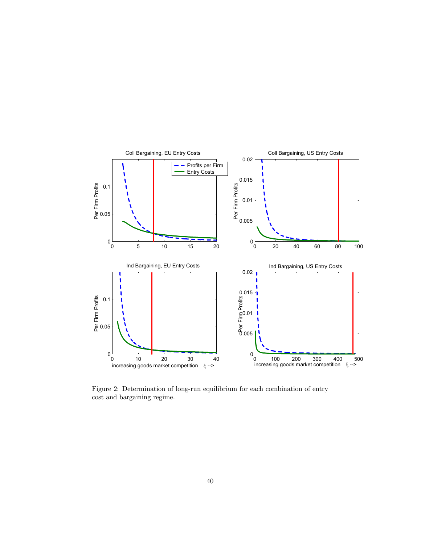

Figure 2: Determination of long-run equilibrium for each combination of entry cost and bargaining regime.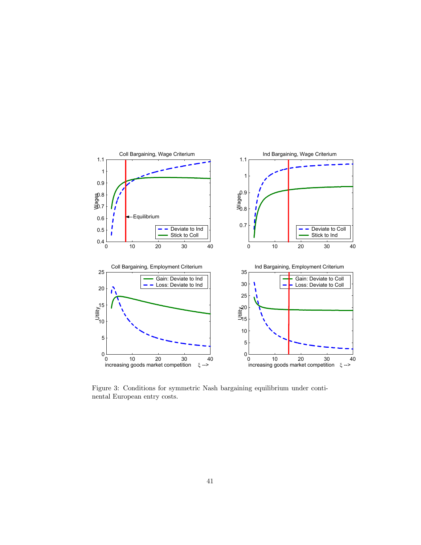

Figure 3: Conditions for symmetric Nash bargaining equilibrium under continental European entry costs.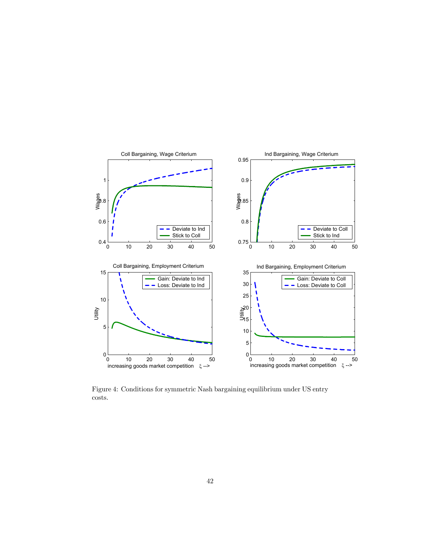

Figure 4: Conditions for symmetric Nash bargaining equilibrium under US entry costs.